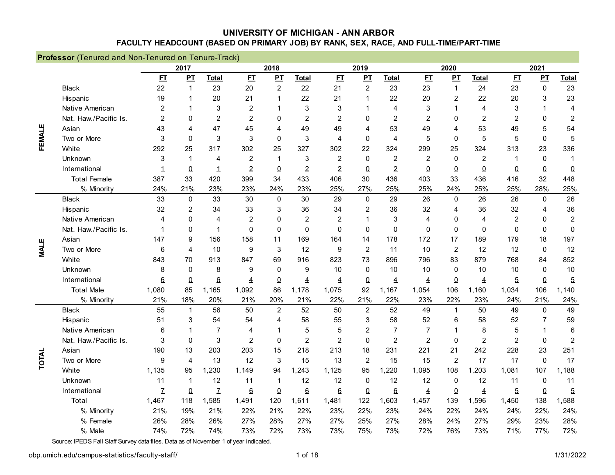|             | Professor (Tenured and Non-Tenured on Tenure-Track) |                           |                |                           |                |                |                |                  |                |                |                |                  |                |                |                  |                         |
|-------------|-----------------------------------------------------|---------------------------|----------------|---------------------------|----------------|----------------|----------------|------------------|----------------|----------------|----------------|------------------|----------------|----------------|------------------|-------------------------|
|             |                                                     |                           | 2017           |                           |                | 2018           |                |                  | 2019           |                |                | 2020             |                |                | 2021             |                         |
|             |                                                     | E                         | $\mathbf{p}$   | <b>Total</b>              | E              | PL             | <b>Total</b>   | E                | $\mathbf{p}$   | <b>Total</b>   | E              | $\mathbf{p}$     | <b>Total</b>   | E1             | $\mathbf{p}$     | <b>Total</b>            |
|             | <b>Black</b>                                        | 22                        | $\mathbf{1}$   | 23                        | 20             | $\overline{c}$ | 22             | 21               | $\overline{2}$ | 23             | 23             | $\mathbf{1}$     | 24             | 23             | $\boldsymbol{0}$ | 23                      |
|             | Hispanic                                            | 19                        |                | 20                        | 21             | 1              | 22             | 21               | 1              | 22             | 20             | $\overline{2}$   | 22             | 20             | 3                | 23                      |
|             | Native American                                     | $\overline{c}$            |                | 3                         | $\overline{c}$ | 1              | 3              | 3                | 1              | 4              | 3              | 1                | $\overline{4}$ | 3              | 1                | 4                       |
|             | Nat. Haw./Pacific Is.                               | $\overline{2}$            | 0              | $\overline{2}$            | $\overline{c}$ | 0              | $\overline{2}$ | $\overline{2}$   | $\mathbf{0}$   | 2              | 2              | 0                | $\overline{2}$ | $\overline{2}$ | 0                | $\overline{\mathbf{c}}$ |
|             | Asian                                               | 43                        | 4              | 47                        | 45             | 4              | 49             | 49               | 4              | 53             | 49             | 4                | 53             | 49             | 5                | 54                      |
| FEMALE      | Two or More                                         | 3                         | $\Omega$       | 3                         | 3              | $\Omega$       | 3              | 4                | $\mathbf 0$    | $\overline{4}$ | 5              | $\mathbf 0$      | 5              | 5              | 0                | 5                       |
|             | White                                               | 292                       | 25             | 317                       | 302            | 25             | 327            | 302              | 22             | 324            | 299            | 25               | 324            | 313            | 23               | 336                     |
|             | Unknown                                             | 3                         | -1             | 4                         | 2              | $\mathbf{1}$   | 3              | $\overline{2}$   | $\mathbf 0$    | $\overline{2}$ | $\overline{2}$ | $\mathbf 0$      | 2              | -1             | $\mathbf 0$      | $\mathbf 1$             |
|             | International                                       | 1                         | $\Omega$       | $\mathbf 1$               | $\overline{2}$ | $\overline{0}$ | $\overline{2}$ | $\overline{2}$   | $\overline{0}$ | $\overline{2}$ | $\pmb{0}$      | $\Omega$         | $\overline{0}$ | $\Omega$       | $\underline{0}$  | $\pmb{0}$               |
|             | <b>Total Female</b>                                 | 387                       | 33             | 420                       | 399            | 34             | 433            | 406              | 30             | 436            | 403            | 33               | 436            | 416            | 32               | 448                     |
|             | % Minority                                          | 24%                       | 21%            | 23%                       | 23%            | 24%            | 23%            | 25%              | 27%            | 25%            | 25%            | 24%              | 25%            | 25%            | 28%              | 25%                     |
|             | <b>Black</b>                                        | 33                        | 0              | 33                        | 30             | $\mathbf 0$    | 30             | 29               | $\mathbf 0$    | 29             | 26             | 0                | 26             | 26             | $\boldsymbol{0}$ | 26                      |
|             | Hispanic                                            | 32                        | 2              | 34                        | 33             | 3              | 36             | 34               | 2              | 36             | 32             | 4                | 36             | 32             | 4                | 36                      |
|             | Native American                                     | 4                         | 0              | 4                         | $\overline{2}$ | 0              | $\overline{2}$ | 2                | $\overline{1}$ | 3              | 4              | 0                | 4              | $\overline{2}$ | 0                | $\overline{c}$          |
|             | Nat. Haw./Pacific Is.                               | 1                         | 0              | $\mathbf 1$               | $\mathbf 0$    | $\Omega$       | $\mathbf{0}$   | $\Omega$         | $\Omega$       | $\Omega$       | $\Omega$       | $\mathbf 0$      | $\Omega$       | $\mathbf 0$    | $\mathbf 0$      | $\pmb{0}$               |
|             | Asian                                               | 147                       | 9              | 156                       | 158            | 11             | 169            | 164              | 14             | 178            | 172            | 17               | 189            | 179            | 18               | 197                     |
| <b>MALE</b> | Two or More                                         | 6                         | 4              | 10                        | 9              | 3              | 12             | 9                | $\overline{2}$ | 11             | 10             | $\overline{c}$   | 12             | 12             | $\pmb{0}$        | 12                      |
|             | White                                               | 843                       | 70             | 913                       | 847            | 69             | 916            | 823              | 73             | 896            | 796            | 83               | 879            | 768            | 84               | 852                     |
|             | Unknown                                             | 8                         | $\Omega$       | 8                         | 9              | $\mathbf 0$    | 9              | 10               | $\mathbf 0$    | 10             | 10             | $\mathbf 0$      | 10             | 10             | $\mathbf 0$      | 10                      |
|             | International                                       | 6                         | $\Omega$       | $6\,$                     | $\overline{4}$ | 0              | $\overline{4}$ | 4                | $\pmb{0}$      | $\overline{4}$ | 4              | $\Omega$         | 4              | $\overline{5}$ | $\Omega$         | $\overline{5}$          |
|             | <b>Total Male</b>                                   | 1,080                     | 85             | 1,165                     | 1,092          | 86             | 1,178          | 1,075            | 92             | 1,167          | 1,054          | 106              | 1,160          | 1,034          | 106              | 1,140                   |
|             | % Minority                                          | 21%                       | 18%            | 20%                       | 21%            | 20%            | 21%            | 22%              | 21%            | 22%            | 23%            | 22%              | 23%            | 24%            | 21%              | 24%                     |
|             | <b>Black</b>                                        | 55                        | $\mathbf{1}$   | 56                        | 50             | $\overline{2}$ | 52             | 50               | $\overline{2}$ | 52             | 49             | $\mathbf 1$      | 50             | 49             | $\pmb{0}$        | 49                      |
|             | Hispanic                                            | 51                        | 3              | 54                        | 54             | 4              | 58             | 55               | $\sqrt{3}$     | 58             | 52             | 6                | 58             | 52             | 7                | 59                      |
|             | Native American                                     | 6                         |                | $\overline{7}$            | $\overline{4}$ | 1              | 5              | 5                | $\overline{2}$ | $\overline{7}$ | $\overline{7}$ |                  | 8              | 5              | 1                | $6\phantom{1}6$         |
|             | Nat. Haw./Pacific Is.                               | 3                         | $\mathbf 0$    | $\mathbf{3}$              | $\overline{c}$ | 0              | $\overline{c}$ | $\overline{2}$   | $\mathbf 0$    | $\overline{c}$ | $\overline{2}$ | $\boldsymbol{0}$ | $\overline{2}$ | $\overline{c}$ | $\boldsymbol{0}$ | $\overline{2}$          |
|             | Asian                                               | 190                       | 13             | 203                       | 203            | 15             | 218            | 213              | 18             | 231            | 221            | 21               | 242            | 228            | 23               | 251                     |
| TOTAL       | Two or More                                         | 9                         | 4              | 13                        | 12             | 3              | 15             | 13               | $\overline{2}$ | 15             | 15             | $\overline{c}$   | 17             | 17             | $\mathbf 0$      | 17                      |
|             | White                                               | 1,135                     | 95             | 1,230                     | 1,149          | 94             | 1,243          | 1,125            | 95             | ,220<br>1      | 1,095          | 108              | 1,203          | 1,081          | 107              | 1,188                   |
|             | Unknown                                             | 11                        | 1              | 12                        | 11             | 1              | 12             | 12               | $\mathbf 0$    | 12             | 12             | $\mathbf 0$      | 12             | 11             | $\mathbf 0$      | 11                      |
|             | International                                       | $\ensuremath{\mathsf{Z}}$ | $\overline{0}$ | $\ensuremath{\mathsf{Z}}$ | 6              | $\pmb{0}$      | $6\,$          | $6 \overline{6}$ | $\overline{0}$ | $6\phantom{1}$ | $\overline{4}$ | $\overline{0}$   | $\pmb{4}$      | $\overline{5}$ | $\overline{0}$   | $\overline{5}$          |
|             | Total                                               | 1,467                     | 118            | 1,585                     | 1,491          | 120            | 1,611          | 1,481            | 122            | 1,603          | 1,457          | 139              | 1,596          | 1,450          | 138              | 1,588                   |
|             | % Minority                                          | 21%                       | 19%            | 21%                       | 22%            | 21%            | 22%            | 23%              | 22%            | 23%            | 24%            | 22%              | 24%            | 24%            | 22%              | 24%                     |
|             | % Female                                            | 26%                       | 28%            | 26%                       | 27%            | 28%            | 27%            | 27%              | 25%            | 27%            | 28%            | 24%              | 27%            | 29%            | 23%              | 28%                     |
|             | % Male                                              | 74%                       | 72%            | 74%                       | 73%            | 72%            | 73%            | 73%              | 75%            | 73%            | 72%            | 76%              | 73%            | 71%            | 77%              | 72%                     |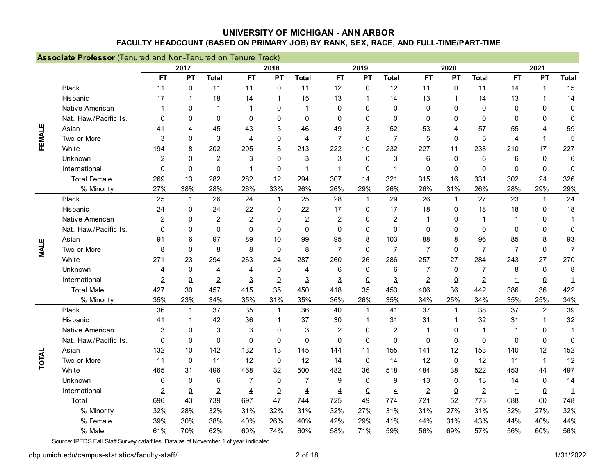|             | Associate Professor (Tenured and Non-Tenured on Tenure Track) |                |              |                |                |                |                |                |                |                  |                |              |                |                |                  |                 |
|-------------|---------------------------------------------------------------|----------------|--------------|----------------|----------------|----------------|----------------|----------------|----------------|------------------|----------------|--------------|----------------|----------------|------------------|-----------------|
|             |                                                               |                | 2017         |                |                | 2018           |                |                | 2019           |                  |                | 2020         |                |                | 2021             |                 |
|             |                                                               | E              | PI           | <b>Total</b>   | E              | PL             | <b>Total</b>   | E              | $\mathbf{P}$   | <b>Total</b>     | E1             | $\mathbf{p}$ | <b>Total</b>   | E1             | PL               | <b>Total</b>    |
|             | <b>Black</b>                                                  | 11             | 0            | 11             | 11             | $\mathbf 0$    | 11             | 12             | $\mathbf 0$    | 12               | 11             | $\mathbf 0$  | 11             | 14             | $\mathbf{1}$     | 15              |
|             | Hispanic                                                      | 17             | 1            | 18             | 14             | 1              | 15             | 13             | $\overline{1}$ | 14               | 13             | 1            | 14             | 13             | $\mathbf{1}$     | 14              |
|             | Native American                                               | $\mathbf 1$    | $\Omega$     | $\mathbf 1$    | $\overline{1}$ | 0              | 1              | 0              | $\mathbf{0}$   | $\mathbf{0}$     | 0              | 0            | $\mathbf{0}$   | 0              | $\mathbf 0$      | $\pmb{0}$       |
|             | Nat. Haw./Pacific Is.                                         | $\Omega$       | $\Omega$     | $\mathbf{0}$   | $\mathbf{0}$   | 0              | $\Omega$       | $\Omega$       | $\mathbf{0}$   | $\Omega$         | 0              | 0            | $\mathbf{0}$   | 0              | 0                | $\mathbf 0$     |
|             | Asian                                                         | 41             | 4            | 45             | 43             | 3              | 46             | 49             | 3              | 52               | 53             | 4            | 57             | 55             | 4                | 59              |
| FEMALE      | Two or More                                                   | 3              | $\Omega$     | 3              | $\overline{4}$ | $\mathbf{0}$   | $\overline{4}$ | $\overline{7}$ | $\mathbf{0}$   | $\overline{7}$   | 5              | $\Omega$     | 5              | 4              | $\mathbf 1$      | 5               |
|             | White                                                         | 194            | 8            | 202            | 205            | 8              | 213            | 222            | 10             | 232              | 227            | 11           | 238            | 210            | 17               | 227             |
|             | Unknown                                                       | $\overline{2}$ | $\Omega$     | $\overline{c}$ | 3              | $\mathbf{0}$   | 3              | 3              | 0              | 3                | 6              | $\mathbf 0$  | 6              | 6              | $\pmb{0}$        | $6\phantom{1}6$ |
|             | International                                                 | $\Omega$       | $\Omega$     | $\Omega$       | $\mathbf 1$    | $\overline{0}$ | $\mathbf 1$    | 1              | $\Omega$       | 1                | $\Omega$       | $\pmb{0}$    | $\Omega$       | $\Omega$       | $\Omega$         | $\underline{0}$ |
|             | <b>Total Female</b>                                           | 269            | 13           | 282            | 282            | 12             | 294            | 307            | 14             | 321              | 315            | 16           | 331            | 302            | 24               | 326             |
|             | % Minority                                                    | 27%            | 38%          | 28%            | 26%            | 33%            | 26%            | 26%            | 29%            | 26%              | 26%            | 31%          | 26%            | 28%            | 29%              | 29%             |
|             | <b>Black</b>                                                  | 25             | $\mathbf{1}$ | 26             | 24             | $\mathbf{1}$   | 25             | 28             | $\mathbf{1}$   | 29               | 26             | $\mathbf{1}$ | 27             | 23             | $\mathbf{1}$     | 24              |
|             | Hispanic                                                      | 24             | $\Omega$     | 24             | 22             | 0              | 22             | 17             | $\mathbf{0}$   | 17               | 18             | $\mathbf 0$  | 18             | 18             | $\mathbf{0}$     | 18              |
|             | Native American                                               | 2              | $\Omega$     | $\overline{2}$ | $\overline{2}$ | $\Omega$       | $\overline{c}$ | $\overline{c}$ | $\mathbf{0}$   | $\overline{2}$   | 1              | $\mathbf{0}$ | 1              | $\mathbf 1$    | $\mathbf{0}$     | 1               |
|             | Nat. Haw./Pacific Is.                                         | $\Omega$       | $\Omega$     | $\mathbf{0}$   | $\mathbf{0}$   | $\Omega$       | $\Omega$       | $\mathbf{0}$   | $\mathbf{0}$   | $\Omega$         | $\mathbf{0}$   | $\Omega$     | $\mathbf{0}$   | $\Omega$       | $\mathbf{0}$     | $\mathbf 0$     |
|             | Asian                                                         | 91             | 6            | 97             | 89             | 10             | 99             | 95             | 8              | 103              | 88             | 8            | 96             | 85             | 8                | 93              |
| <b>MALE</b> | Two or More                                                   | 8              | $\Omega$     | 8              | 8              | $\mathbf 0$    | 8              | $\overline{7}$ | 0              | $\overline{7}$   | 7              | $\mathbf 0$  | $\overline{7}$ | $\overline{7}$ | 0                | $\overline{7}$  |
|             | White                                                         | 271            | 23           | 294            | 263            | 24             | 287            | 260            | 26             | 286              | 257            | 27           | 284            | 243            | 27               | 270             |
|             | Unknown                                                       | 4              | 0            | 4              | $\overline{4}$ | $\mathbf 0$    | 4              | 6              | $\mathbf 0$    | 6                | 7              | $\mathbf 0$  | $\overline{7}$ | 8              | $\boldsymbol{0}$ | 8               |
|             | International                                                 | $\overline{2}$ | $\Omega$     | $\overline{2}$ | $\mathbf{3}$   | $\Omega$       | 3              | 3              | 0              | $\mathbf{3}$     | $\overline{2}$ | $\Omega$     | $\overline{2}$ | $\mathbf 1$    | $\Omega$         | $\mathbf 1$     |
|             | <b>Total Male</b>                                             | 427            | 30           | 457            | 415            | 35             | 450            | 418            | 35             | 453              | 406            | 36           | 442            | 386            | 36               | 422             |
|             | % Minority                                                    | 35%            | 23%          | 34%            | 35%            | 31%            | 35%            | 36%            | 26%            | 35%              | 34%            | 25%          | 34%            | 35%            | 25%              | 34%             |
|             | <b>Black</b>                                                  | 36             | $\mathbf{1}$ | 37             | 35             | $\mathbf{1}$   | 36             | 40             | $\overline{1}$ | 41               | 37             | $\mathbf{1}$ | 38             | 37             | $\overline{2}$   | 39              |
|             | Hispanic                                                      | 41             |              | 42             | 36             | 1              | 37             | 30             | -1             | 31               | 31             | 1            | 32             | 31             | $\mathbf 1$      | 32              |
|             | Native American                                               | 3              | $\Omega$     | 3              | 3              | $\mathbf{0}$   | 3              | 2              | $\mathbf{0}$   | $\boldsymbol{2}$ | 1              | $\mathbf{0}$ | $\overline{1}$ | -1             | $\mathbf{0}$     | 1               |
|             | Nat. Haw./Pacific Is.                                         | 0              | $\mathbf 0$  | $\mathbf 0$    | $\mathbf 0$    | 0              | $\mathbf 0$    | $\mathbf 0$    | $\mathbf 0$    | $\mathbf 0$      | 0              | $\mathbf 0$  | $\mathbf 0$    | $\mathbf 0$    | $\pmb{0}$        | $\mathbf 0$     |
|             | Asian                                                         | 132            | 10           | 142            | 132            | 13             | 145            | 144            | 11             | 155              | 141            | 12           | 153            | 140            | 12               | 152             |
| TOTAL       | Two or More                                                   | 11             | 0            | 11             | 12             | $\pmb{0}$      | 12             | 14             | $\mathbf 0$    | 14               | 12             | $\pmb{0}$    | 12             | 11             | 1                | 12              |
|             | White                                                         | 465            | 31           | 496            | 468            | 32             | 500            | 482            | 36             | 518              | 484            | 38           | 522            | 453            | 44               | 497             |
|             | Unknown                                                       | 6              | $\mathbf 0$  | 6              | 7              | $\mathbf 0$    | $\overline{7}$ | 9              | $\mathbf 0$    | 9                | 13             | $\mathbf 0$  | 13             | 14             | $\mathbf 0$      | 14              |
|             | International                                                 | $\overline{2}$ | $\pmb{0}$    | $\overline{2}$ | $\overline{4}$ | $\overline{0}$ | $\overline{4}$ | 4              | 0              | 4                | $\overline{2}$ | $\pmb{0}$    | $\overline{2}$ | $\mathbf 1$    | $\overline{0}$   | $\mathbf{1}$    |
|             | Total                                                         | 696            | 43           | 739            | 697            | 47             | 744            | 725            | 49             | 774              | 721            | 52           | 773            | 688            | 60               | 748             |
|             | % Minority                                                    | 32%            | 28%          | 32%            | 31%            | 32%            | 31%            | 32%            | 27%            | 31%              | 31%            | 27%          | 31%            | 32%            | 27%              | 32%             |
|             | % Female                                                      | 39%            | 30%          | 38%            | 40%            | 26%            | 40%            | 42%            | 29%            | 41%              | 44%            | 31%          | 43%            | 44%            | 40%              | 44%             |
|             | % Male                                                        | 61%            | 70%          | 62%            | 60%            | 74%            | 60%            | 58%            | 71%            | 59%              | 56%            | 69%          | 57%            | 56%            | 60%              | 56%             |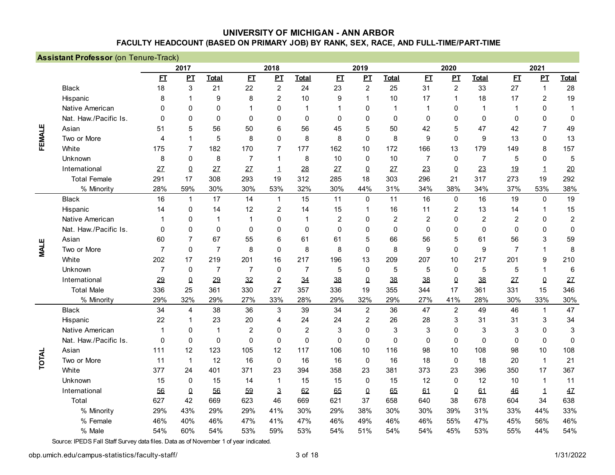|             | <b>Assistant Professor (on Tenure-Track)</b> |                |                |                |                |                |                  |                |                |                |                |                |                |                |                |                |
|-------------|----------------------------------------------|----------------|----------------|----------------|----------------|----------------|------------------|----------------|----------------|----------------|----------------|----------------|----------------|----------------|----------------|----------------|
|             |                                              |                | 2017           |                |                | 2018           |                  |                | 2019           |                |                | 2020           |                |                | 2021           |                |
|             |                                              | E              | PL             | <b>Total</b>   | E1             | PL             | <b>Total</b>     | E1             | $\mathbf{p}$   | <b>Total</b>   | E1             | PI             | <b>Total</b>   | E              | $\mathbf{p}$   | <b>Total</b>   |
|             | <b>Black</b>                                 | 18             | 3              | 21             | 22             | $\overline{c}$ | 24               | 23             | $\overline{2}$ | 25             | 31             | $\overline{c}$ | 33             | 27             | $\mathbf{1}$   | 28             |
|             | Hispanic                                     | 8              | 1              | 9              | 8              | $\overline{c}$ | 10               | 9              | $\mathbf{1}$   | 10             | 17             | 1              | 18             | 17             | $\overline{2}$ | 19             |
|             | Native American                              | $\Omega$       | $\mathbf{0}$   | $\mathbf 0$    | 1              | 0              | 1                | 1              | $\mathbf 0$    | 1              | 1              | $\mathbf 0$    | $\mathbf{1}$   | 1              | $\mathbf 0$    | $\mathbf{1}$   |
|             | Nat. Haw./Pacific Is.                        | $\Omega$       | $\mathbf{0}$   | $\mathbf 0$    | $\mathbf 0$    | 0              | $\mathbf 0$      | $\mathbf 0$    | $\mathbf 0$    | $\mathbf 0$    | $\mathbf 0$    | 0              | $\mathbf 0$    | $\mathbf 0$    | 0              | 0              |
|             | Asian                                        | 51             | 5              | 56             | 50             | 6              | 56               | 45             | 5              | 50             | 42             | 5              | 47             | 42             | $\overline{7}$ | 49             |
| FEMALE      | Two or More                                  | 4              | 1              | 5              | 8              | 0              | 8                | 8              | $\mathbf 0$    | 8              | 9              | $\mathbf 0$    | 9              | 13             | 0              | 13             |
|             | White                                        | 175            | $\overline{7}$ | 182            | 170            | 7              | 177              | 162            | 10             | 172            | 166            | 13             | 179            | 149            | 8              | 157            |
|             | Unknown                                      | 8              | $\mathbf{0}$   | 8              | $\overline{7}$ | 1              | 8                | 10             | $\mathbf 0$    | 10             | $\overline{7}$ | $\mathbf 0$    | $\overline{7}$ | 5              | 0              | $\mathbf 5$    |
|             | International                                | 27             | $\overline{0}$ | 27             | 27             | 1              | 28               | 27             | 0              | 27             | 23             | $\overline{0}$ | 23             | 19             | $\mathbf 1$    | 20             |
|             | <b>Total Female</b>                          | 291            | 17             | 308            | 293            | 19             | 312              | 285            | 18             | 303            | 296            | 21             | 317            | 273            | 19             | 292            |
|             | % Minority                                   | 28%            | 59%            | 30%            | 30%            | 53%            | 32%              | 30%            | 44%            | 31%            | 34%            | 38%            | 34%            | 37%            | 53%            | 38%            |
|             | <b>Black</b>                                 | 16             | 1              | 17             | 14             | $\mathbf{1}$   | 15               | 11             | $\mathbf 0$    | 11             | 16             | $\pmb{0}$      | 16             | 19             | 0              | 19             |
|             | Hispanic                                     | 14             | 0              | 14             | 12             | $\overline{c}$ | 14               | 15             | 1              | 16             | 11             | $\overline{c}$ | 13             | 14             | 1              | 15             |
|             | Native American                              | 1              | 0              | 1              | $\mathbf 1$    | 0              | 1                | $\overline{2}$ | $\mathbf 0$    | $\overline{2}$ | $\overline{c}$ | $\mathbf 0$    | $\overline{2}$ | $\overline{c}$ | $\mathbf 0$    | $\overline{c}$ |
|             | Nat. Haw./Pacific Is.                        | $\Omega$       | $\mathbf{0}$   | $\mathbf 0$    | $\mathbf 0$    | 0              | 0                | $\mathbf{0}$   | $\mathbf 0$    | $\Omega$       | 0              | $\mathbf 0$    | $\mathbf 0$    | $\mathbf 0$    | $\mathbf 0$    | $\pmb{0}$      |
|             | Asian                                        | 60             | 7              | 67             | 55             | 6              | 61               | 61             | 5              | 66             | 56             | 5              | 61             | 56             | 3              | 59             |
| <b>MALE</b> | Two or More                                  | $\overline{7}$ | 0              | $\overline{7}$ | 8              | $\mathbf{0}$   | 8                | 8              | $\mathbf 0$    | 8              | 9              | $\mathbf 0$    | 9              | $\overline{7}$ | $\mathbf{1}$   | 8              |
|             | White                                        | 202            | 17             | 219            | 201            | 16             | 217              | 196            | 13             | 209            | 207            | 10             | 217            | 201            | 9              | 210            |
|             | Unknown                                      | $\overline{7}$ | $\mathbf 0$    | 7              | $\overline{7}$ | $\mathbf 0$    | 7                | 5              | $\mathbf 0$    | 5              | 5              | $\mathbf 0$    | 5              | 5              | $\mathbf{1}$   | $\,6\,$        |
|             | International                                | 29             | $\Omega$       | 29             | 32             | $\overline{2}$ | 34               | 38             | 0              | 38             | 38             | $\Omega$       | 38             | 27             | $\pmb{0}$      | 27             |
|             | <b>Total Male</b>                            | 336            | 25             | 361            | 330            | 27             | 357              | 336            | 19             | 355            | 344            | 17             | 361            | 331            | 15             | 346            |
|             | % Minority                                   | 29%            | 32%            | 29%            | 27%            | 33%            | 28%              | 29%            | 32%            | 29%            | 27%            | 41%            | 28%            | 30%            | 33%            | 30%            |
|             | <b>Black</b>                                 | 34             | 4              | 38             | 36             | 3              | 39               | 34             | $\overline{2}$ | 36             | 47             | $\overline{c}$ | 49             | 46             | $\mathbf{1}$   | 47             |
|             | Hispanic                                     | 22             | 1              | 23             | 20             | 4              | 24               | 24             | $\overline{2}$ | 26             | 28             | 3              | 31             | 31             | 3              | 34             |
|             | Native American                              | 1              | 0              | 1              | $\overline{c}$ | $\mathbf{0}$   | $\overline{c}$   | 3              | $\mathbf 0$    | 3              | 3              | $\mathbf 0$    | 3              | 3              | $\mathbf 0$    | $\mathsf 3$    |
|             | Nat. Haw./Pacific Is.                        | $\mathbf 0$    | $\mathbf 0$    | $\mathbf 0$    | $\mathbf 0$    | 0              | $\boldsymbol{0}$ | $\mathbf{0}$   | $\mathbf 0$    | $\mathbf 0$    | $\mathbf 0$    | $\mathbf 0$    | $\Omega$       | $\mathbf 0$    | $\mathbf 0$    | $\mathbf 0$    |
|             | Asian                                        | 111            | 12             | 123            | 105            | 12             | 117              | 106            | 10             | 116            | 98             | 10             | 108            | 98             | 10             | 108            |
| TOTAL       | Two or More                                  | 11             | $\mathbf{1}$   | 12             | 16             | $\mathbf 0$    | 16               | 16             | 0              | 16             | 18             | $\mathbf 0$    | 18             | 20             | $\mathbf{1}$   | 21             |
|             | White                                        | 377            | 24             | 401            | 371            | 23             | 394              | 358            | 23             | 381            | 373            | 23             | 396            | 350            | 17             | 367            |
|             | Unknown                                      | 15             | $\mathbf 0$    | 15             | 14             | 1              | 15               | 15             | $\mathbf 0$    | 15             | 12             | $\mathbf 0$    | 12             | 10             | $\mathbf 1$    | 11             |
|             | International                                | 56             | $\overline{0}$ | 56             | 59             | $\mathbf{3}$   | 62               | 65             | $\overline{0}$ | 65             | 61             | $\overline{0}$ | 61             | 46             | $\mathbf 1$    | 47             |
|             | Total                                        | 627            | 42             | 669            | 623            | 46             | 669              | 621            | 37             | 658            | 640            | 38             | 678            | 604            | 34             | 638            |
|             | % Minority                                   | 29%            | 43%            | 29%            | 29%            | 41%            | 30%              | 29%            | 38%            | 30%            | 30%            | 39%            | 31%            | 33%            | 44%            | 33%            |
|             | % Female                                     | 46%            | 40%            | 46%            | 47%            | 41%            | 47%              | 46%            | 49%            | 46%            | 46%            | 55%            | 47%            | 45%            | 56%            | 46%            |
|             | % Male                                       | 54%            | 60%            | 54%            | 53%            | 59%            | 53%              | 54%            | 51%            | 54%            | 54%            | 45%            | 53%            | 55%            | 44%            | 54%            |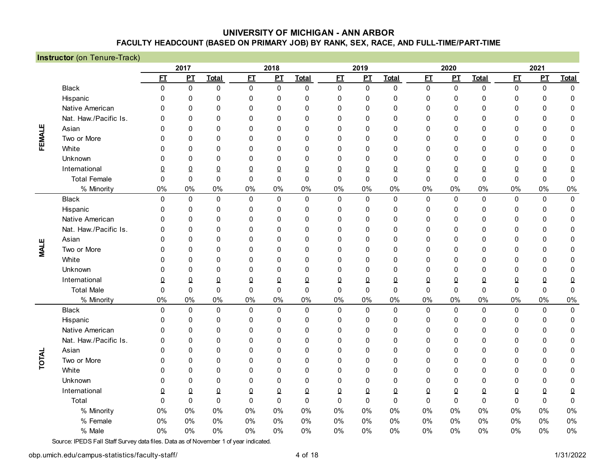|              | <b>Instructor</b> (on Tenure-Track) |              |              |              |              |              |              |                |              |              |             |              |              |                |              |                     |
|--------------|-------------------------------------|--------------|--------------|--------------|--------------|--------------|--------------|----------------|--------------|--------------|-------------|--------------|--------------|----------------|--------------|---------------------|
|              |                                     |              | 2017         |              |              | 2018         |              |                | 2019         |              |             | 2020         |              |                | 2021         |                     |
|              |                                     | E            | PI           | <b>Total</b> | E            | PI           | <b>Total</b> | E              | $\mathbf{p}$ | <b>Total</b> | E           | PI           | <b>Total</b> | E              | $\mathbf{p}$ | <b>Total</b>        |
|              | <b>Black</b>                        | 0            | $\pmb{0}$    | $\mathbf 0$  | $\pmb{0}$    | $\mathbf 0$  | $\mathbf 0$  | $\mathbf 0$    | $\pmb{0}$    | 0            | $\pmb{0}$   | $\mathbf 0$  | $\pmb{0}$    | $\mathbf 0$    | $\pmb{0}$    | 0                   |
|              | Hispanic                            | 0            | $\mathbf 0$  | $\mathbf 0$  | $\mathbf 0$  | $\mathbf 0$  | 0            | 0              | $\mathbf 0$  | $\mathbf 0$  | $\mathbf 0$ | 0            | $\mathbf 0$  | 0              | $\mathbf 0$  | $\mathbf 0$         |
|              | Native American                     | 0            | $\mathbf{0}$ | $\mathbf 0$  | $\mathbf 0$  | $\mathbf{0}$ | 0            | $\mathbf 0$    | $\mathbf 0$  | 0            | 0           | 0            | $\mathbf 0$  | $\mathbf 0$    | $\mathbf 0$  | $\mathbf 0$         |
|              | Nat. Haw./Pacific Is.               | 0            | $\mathbf{0}$ | $\mathbf 0$  | $\mathbf 0$  | $\mathbf{0}$ | $\mathbf{0}$ | 0              | $\mathbf 0$  | $\mathbf{0}$ | 0           | 0            | $\mathbf 0$  | $\mathbf 0$    | $\mathbf 0$  | 0                   |
|              | Asian                               | 0            | $\mathbf{0}$ | $\mathbf 0$  | $\mathbf 0$  | $\mathbf{0}$ | $\mathbf{0}$ | 0              | $\mathbf 0$  | $\mathbf{0}$ | 0           | 0            | $\mathbf 0$  | $\mathbf 0$    | 0            | 0                   |
| FEMALE       | Two or More                         | 0            | $\mathbf{0}$ | $\mathbf 0$  | $\mathbf 0$  | $\mathbf{0}$ | $\mathbf{0}$ | 0              | $\mathbf 0$  | $\mathbf{0}$ | $\mathbf 0$ | 0            | $\mathbf 0$  | $\mathbf 0$    | 0            | $\mathbf 0$         |
|              | White                               | 0            | $\mathbf{0}$ | $\Omega$     | $\mathbf 0$  | $\mathbf{0}$ | $\mathbf{0}$ | 0              | $\mathbf 0$  | $\mathbf{0}$ | $\mathbf 0$ | 0            | $\mathbf 0$  | $\mathbf 0$    | 0            | $\mathbf 0$         |
|              | Unknown                             | 0            | $\mathbf{0}$ | $\mathbf 0$  | $\mathbf 0$  | $\mathbf{0}$ | $\mathbf{0}$ | 0              | $\mathbf 0$  | $\mathbf{0}$ | $\mathbf 0$ | $\mathbf 0$  | $\mathbf 0$  | $\mathbf 0$    | 0            | $\mathbf 0$         |
|              | International                       | 0            | $\Omega$     | $\Omega$     | $\pmb{0}$    | $\Omega$     | $\Omega$     | $\Omega$       | $\pmb{0}$    | $\Omega$     | $\pmb{0}$   | $\Omega$     | $\pmb{0}$    | $\overline{0}$ | $\pmb{0}$    | $\Omega$            |
|              | <b>Total Female</b>                 | $\Omega$     | $\mathbf{0}$ | $\mathbf{0}$ | $\mathbf{0}$ | $\Omega$     | $\Omega$     | $\Omega$       | $\mathbf 0$  | $\Omega$     | 0           | $\mathbf{0}$ | $\mathbf 0$  | 0              | 0            | $\mathbf 0$         |
|              | % Minority                          | 0%           | 0%           | $0\%$        | 0%           | 0%           | 0%           | 0%             | 0%           | 0%           | 0%          | 0%           | 0%           | 0%             | 0%           | 0%                  |
|              | <b>Black</b>                        | $\mathbf{0}$ | $\mathbf 0$  | $\mathsf 0$  | $\pmb{0}$    | $\mathbf 0$  | $\mathbf 0$  | $\pmb{0}$      | $\pmb{0}$    | $\mathsf 0$  | $\pmb{0}$   | $\pmb{0}$    | $\pmb{0}$    | $\mathbf 0$    | $\pmb{0}$    | $\mathsf{O}\xspace$ |
|              | Hispanic                            | 0            | 0            | $\mathbf 0$  | $\mathbf 0$  | 0            | 0            | $\mathbf 0$    | $\mathbf 0$  | 0            | $\mathbf 0$ | $\mathbf 0$  | $\mathbf 0$  | 0              | 0            | 0                   |
|              | Native American                     | $\Omega$     | $\mathbf{0}$ | $\Omega$     | $\mathbf 0$  | $\mathbf{0}$ | $\mathbf 0$  | 0              | $\mathbf 0$  | 0            | 0           | 0            | $\mathbf 0$  | 0              | 0            | $\pmb{0}$           |
|              | Nat. Haw./Pacific Is.               | 0            | $\mathbf{0}$ | $\mathbf 0$  | $\mathbf 0$  | $\mathbf{0}$ | 0            | 0              | $\mathbf 0$  | $\mathbf{0}$ | 0           | 0            | $\mathbf 0$  | 0              | 0            | 0                   |
| ш            | Asian                               | $\Omega$     | $\mathbf{0}$ | $\Omega$     | $\mathbf 0$  | $\mathbf{0}$ | $\mathbf{0}$ | $\mathbf{0}$   | $\mathbf 0$  | $\mathbf{0}$ | 0           | 0            | $\mathbf 0$  | $\mathbf 0$    | 0            | 0                   |
| <b>LIAN</b>  | Two or More                         | 0            | $\mathbf{0}$ | $\mathbf 0$  | $\mathbf 0$  | $\mathbf{0}$ | $\mathbf{0}$ | 0              | $\mathbf 0$  | $\mathbf{0}$ | 0           | 0            | $\mathbf 0$  | 0              | 0            | 0                   |
|              | White                               | 0            | $\mathbf{0}$ | $\Omega$     | $\mathbf 0$  | $\mathbf{0}$ | $\mathbf{0}$ | $\mathbf{0}$   | $\Omega$     | $\mathbf{0}$ | 0           | $\mathbf{0}$ | $\mathbf 0$  | $\mathbf{0}$   | $\mathbf 0$  | 0                   |
|              | Unknown                             | 0            | $\mathbf{0}$ | $\Omega$     | $\mathbf 0$  | $\mathbf{0}$ | $\mathbf{0}$ | $\mathbf{0}$   | $\Omega$     | $\mathbf{0}$ | 0           | $\mathbf{0}$ | $\Omega$     | $\mathbf{0}$   | $\mathbf 0$  | $\mathbf{0}$        |
|              | International                       | 0            | $\Omega$     | $\Omega$     | $\Omega$     | $\Omega$     | $\Omega$     | 0              | 0            | 0            | $\pmb{0}$   | $\Omega$     | $\Omega$     | $\Omega$       | $\pmb{0}$    | 0                   |
|              | <b>Total Male</b>                   | $\mathbf{0}$ | $\mathbf{0}$ | $\mathbf{0}$ | $\mathbf{0}$ | $\mathbf{0}$ | $\mathbf{0}$ | $\mathbf{0}$   | $\mathbf{0}$ | $\mathbf{0}$ | $\Omega$    | $\mathbf{0}$ | $\mathbf{0}$ | $\Omega$       | $\Omega$     | $\boldsymbol{0}$    |
|              | % Minority                          | 0%           | 0%           | $0\%$        | 0%           | 0%           | 0%           | 0%             | 0%           | 0%           | 0%          | 0%           | 0%           | $0\%$          | 0%           | 0%                  |
|              | <b>Black</b>                        | $\mathbf{0}$ | $\mathbf 0$  | $\mathbf 0$  | $\mathbf 0$  | $\mathbf 0$  | $\mathbf 0$  | $\mathbf 0$    | $\mathbf 0$  | $\mathbf 0$  | $\mathbf 0$ | 0            | $\mathbf 0$  | $\mathbf 0$    | $\mathbf 0$  | $\mathbf 0$         |
|              | Hispanic                            | 0            | 0            | $\mathbf 0$  | 0            | 0            | 0            | 0              | 0            | 0            | 0           | 0            | $\mathbf 0$  | 0              | $\mathbf 0$  | $\mathbf 0$         |
|              | Native American                     | 0            | $\mathbf{0}$ | $\Omega$     | $\Omega$     | 0            | $\mathbf{0}$ | 0              | $\Omega$     | 0            | 0           | $\mathbf{0}$ | $\Omega$     | $\mathbf 0$    | $\mathbf 0$  | $\mathbf 0$         |
|              | Nat. Haw./Pacific Is.               | 0            | $\mathbf{0}$ | $\Omega$     | $\Omega$     | 0            | $\mathbf{0}$ | 0              | $\Omega$     | 0            | 0           | $\mathbf{0}$ | $\Omega$     | $\mathbf 0$    | $\mathbf 0$  | 0                   |
|              | Asian                               | $\Omega$     | $\mathbf{0}$ | $\mathbf 0$  | $\mathbf 0$  | $\mathbf{0}$ | 0            | $\mathbf{0}$   | $\mathbf 0$  | $\mathbf{0}$ | 0           | 0            | $\mathbf 0$  | $\mathbf 0$    | 0            | 0                   |
| <b>TOTAL</b> | Two or More                         | 0            | $\mathbf{0}$ | $\mathbf 0$  | $\mathbf 0$  | $\mathbf{0}$ | 0            | 0              | $\mathbf 0$  | 0            | 0           | 0            | $\mathbf 0$  | $\mathbf 0$    | 0            | 0                   |
|              | White                               | 0            | $\mathbf{0}$ | $\mathbf 0$  | $\mathbf 0$  | $\mathbf{0}$ | 0            | 0              | $\mathbf 0$  | 0            | 0           | 0            | $\mathbf 0$  | $\mathbf 0$    | 0            | $\mathbf 0$         |
|              | Unknown                             | 0            | $\mathbf{0}$ | $\mathbf 0$  | $\mathbf 0$  | $\mathbf{0}$ | 0            | $\mathbf{0}$   | $\mathbf{0}$ | $\mathbf{0}$ | 0           | 0            | $\mathbf 0$  | $\mathbf 0$    | $\mathbf 0$  | $\mathbf 0$         |
|              | International                       | 0            | $\Omega$     | $\Omega$     | $\Omega$     | 0            | $\Omega$     | $\overline{0}$ | 0            | $\Omega$     | $\pmb{0}$   | $\Omega$     | $\Omega$     | $\overline{0}$ | $\pmb{0}$    | $\underline{0}$     |
|              | Total                               | $\mathbf{0}$ | $\mathbf 0$  | $\mathbf 0$  | $\mathbf 0$  | $\Omega$     | $\mathbf 0$  | $\mathbf 0$    | $\mathbf 0$  | $\Omega$     | $\mathbf 0$ | $\mathbf 0$  | $\mathbf 0$  | $\mathbf 0$    | $\mathbf 0$  | $\mathbf 0$         |
|              | % Minority                          | 0%           | 0%           | $0\%$        | 0%           | 0%           | 0%           | 0%             | 0%           | 0%           | 0%          | 0%           | 0%           | $0\%$          | 0%           | 0%                  |
|              | % Female                            | 0%           | 0%           | $0\%$        | 0%           | 0%           | 0%           | 0%             | $0\%$        | 0%           | 0%          | 0%           | $0\%$        | 0%             | 0%           | 0%                  |
|              | % Male                              | 0%           | 0%           | $0\%$        | 0%           | 0%           | 0%           | 0%             | 0%           | 0%           | 0%          | 0%           | 0%           | 0%             | 0%           | 0%                  |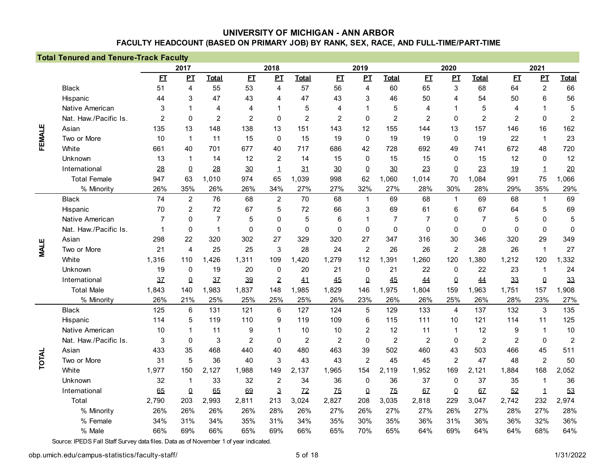|             | <b>Total Tenured and Tenure-Track Faculty</b> |                |                  |                |                |                |                |                |                |                 |                |                |                |                |                |                  |
|-------------|-----------------------------------------------|----------------|------------------|----------------|----------------|----------------|----------------|----------------|----------------|-----------------|----------------|----------------|----------------|----------------|----------------|------------------|
|             |                                               |                | 2017             |                |                | 2018           |                |                | 2019           |                 |                | 2020           |                |                | 2021           |                  |
|             |                                               | E              | $\mathbf{P}$     | <b>Total</b>   | E              | PI             | <b>Total</b>   | E              | $\mathbf{p}$   | <b>Total</b>    | E              | $\mathbf{p}$   | <b>Total</b>   | E              | PL             | <b>Total</b>     |
|             | <b>Black</b>                                  | 51             | 4                | 55             | 53             | 4              | 57             | 56             | $\overline{4}$ | 60              | 65             | 3              | 68             | 64             | $\overline{c}$ | 66               |
|             | Hispanic                                      | 44             | 3                | 47             | 43             | 4              | 47             | 43             | 3              | 46              | 50             | 4              | 54             | 50             | 6              | 56               |
|             | Native American                               | 3              |                  | 4              | $\overline{4}$ |                | 5              | 4              | $\mathbf 1$    | 5               | 4              | 1              | 5              | 4              | 1              | 5                |
|             | Nat. Haw./Pacific Is.                         | $\overline{2}$ | $\mathbf{0}$     | $\overline{2}$ | $\overline{2}$ | $\mathbf 0$    | $\overline{2}$ | $\overline{2}$ | $\mathbf 0$    | $\overline{2}$  | $\overline{2}$ | $\mathbf 0$    | $\overline{2}$ | $\overline{2}$ | $\mathbf 0$    | $\overline{c}$   |
|             | Asian                                         | 135            | 13               | 148            | 138            | 13             | 151            | 143            | 12             | 155             | 144            | 13             | 157            | 146            | 16             | 162              |
| FEMALE      | Two or More                                   | 10             | 1                | 11             | 15             | $\Omega$       | 15             | 19             | $\mathbf 0$    | 19              | 19             | $\mathbf 0$    | 19             | 22             | $\mathbf{1}$   | 23               |
|             | White                                         | 661            | 40               | 701            | 677            | 40             | 717            | 686            | 42             | 728             | 692            | 49             | 741            | 672            | 48             | 720              |
|             | Unknown                                       | 13             | 1                | 14             | 12             | $\overline{c}$ | 14             | 15             | $\mathbf 0$    | 15              | 15             | 0              | 15             | 12             | $\mathbf 0$    | 12               |
|             | International                                 | 28             | 0                | 28             | 30             | 1              | 31             | 30             | $\bf{0}$       | 30              | 23             | $\overline{0}$ | 23             | 19             | $\mathbf 1$    | 20               |
|             | <b>Total Female</b>                           | 947            | 63               | 1,010          | 974            | 65             | 1,039          | 998            | 62             | 1,060           | 1,014          | 70             | 1,084          | 991            | 75             | 1,066            |
|             | % Minority                                    | 26%            | 35%              | 26%            | 26%            | 34%            | 27%            | 27%            | 32%            | 27%             | 28%            | 30%            | 28%            | 29%            | 35%            | 29%              |
|             | <b>Black</b>                                  | 74             | $\boldsymbol{2}$ | 76             | 68             | $\overline{c}$ | 70             | 68             | $\mathbf{1}$   | 69              | 68             | $\mathbf{1}$   | 69             | 68             | $\mathbf{1}$   | 69               |
|             | Hispanic                                      | 70             | $\overline{2}$   | 72             | 67             | 5              | 72             | 66             | 3              | 69              | 61             | 6              | 67             | 64             | 5              | 69               |
|             | Native American                               | 7              | 0                | $\overline{7}$ | 5              | 0              | 5              | 6              | $\mathbf 1$    | $\overline{7}$  | 7              | 0              | $\overline{7}$ | 5              | $\mathbf 0$    | 5                |
|             | Nat. Haw./Pacific Is.                         | $\mathbf 1$    | 0                | $\mathbf{1}$   | $\mathbf 0$    | $\Omega$       | $\Omega$       | $\Omega$       | $\mathbf 0$    | $\mathbf 0$     | $\mathbf 0$    | $\mathbf 0$    | $\mathbf{0}$   | $\mathbf 0$    | $\mathbf 0$    | $\mathbf 0$      |
|             | Asian                                         | 298            | 22               | 320            | 302            | 27             | 329            | 320            | 27             | 347             | 316            | 30             | 346            | 320            | 29             | 349              |
| <b>MALE</b> | Two or More                                   | 21             | $\overline{4}$   | 25             | 25             | 3              | 28             | 24             | $\overline{2}$ | 26              | 26             | $\overline{2}$ | 28             | 26             | $\mathbf 1$    | 27               |
|             | White                                         | 1,316          | 110              | ,426<br>1      | 1,311          | 109            | 1,420          | 1,279          | 112            | 1,391           | 1,260          | 120            | ,380           | 1,212          | 120            | 1,332            |
|             | Unknown                                       | 19             | 0                | 19             | 20             | 0              | 20             | 21             | $\mathbf 0$    | 21              | 22             | $\mathbf 0$    | 22             | 23             | $\mathbf{1}$   | 24               |
|             | International                                 | 3 <sub>L</sub> | 0                | 3 <sub>z</sub> | 39             | $\overline{2}$ | 41             | 45             | $\pmb{0}$      | 45              | 44             | $\Omega$       | 44             | 33             | $\Omega$       | 33               |
|             | <b>Total Male</b>                             | 1,843          | 140              | 1,983          | 1,837          | 148            | 1,985          | 1,829          | 146            | 1,975           | 1,804          | 159            | 1,963          | 1,751          | 157            | 1,908            |
|             | % Minority                                    | 26%            | 21%              | 25%            | 25%            | 25%            | 25%            | 26%            | 23%            | 26%             | 26%            | 25%            | 26%            | 28%            | 23%            | 27%              |
|             | <b>Black</b>                                  | 125            | 6                | 131            | 121            | 6              | 127            | 124            | 5              | 129             | 133            | $\overline{4}$ | 137            | 132            | 3              | 135              |
|             | Hispanic                                      | 114            | 5                | 119            | 110            | 9              | 119            | 109            | $\,6$          | 115             | 111            | 10             | 121            | 114            | 11             | 125              |
|             | Native American                               | 10             |                  | 11             | 9              | 1              | 10             | 10             | $\overline{2}$ | 12              | 11             | 1              | 12             | 9              | $\mathbf{1}$   | 10               |
|             | Nat. Haw./Pacific Is.                         | 3              | $\mathbf{0}$     | 3              | $\overline{2}$ | $\mathbf{0}$   | $\overline{c}$ | $\overline{2}$ | $\mathbf 0$    | $\overline{2}$  | $\overline{2}$ | $\mathbf 0$    | $\overline{2}$ | $\overline{2}$ | $\mathbf 0$    | $\boldsymbol{2}$ |
|             | Asian                                         | 433            | 35               | 468            | 440            | 40             | 480            | 463            | 39             | 502             | 460            | 43             | 503            | 466            | 45             | 511              |
| TOTAL       | Two or More                                   | 31             | 5                | 36             | 40             | 3              | 43             | 43             | $\overline{c}$ | 45              | 45             | $\overline{c}$ | 47             | 48             | $\overline{c}$ | 50               |
|             | White                                         | 1,977          | 150              | 2,127          | 1,988          | 149            | 2,137          | 1,965          | 154            | 2,119           | 1,952          | 169            | 2,121          | 1,884          | 168            | 2,052            |
|             | Unknown                                       | 32             | $\mathbf 1$      | 33             | 32             | $\overline{c}$ | 34             | 36             | $\mathbf 0$    | 36              | 37             | $\mathbf 0$    | 37             | 35             | 1              | 36               |
|             | International                                 | 65             | $\overline{0}$   | 65             | 69             | 3              | $Z^2$          | 75             | $\overline{0}$ | $\overline{25}$ | 67             | $\overline{0}$ | 67             | 52             | 1              | 53               |
|             | Total                                         | 2,790          | 203              | 2,993          | 2,811          | 213            | 3,024          | 2,827          | 208            | 3,035           | 2,818          | 229            | 3,047          | 2,742          | 232            | 2,974            |
|             | % Minority                                    | 26%            | 26%              | 26%            | 26%            | 28%            | 26%            | 27%            | 26%            | 27%             | 27%            | 26%            | 27%            | 28%            | 27%            | 28%              |
|             | % Female                                      | 34%            | 31%              | 34%            | 35%            | 31%            | 34%            | 35%            | 30%            | 35%             | 36%            | 31%            | 36%            | 36%            | 32%            | 36%              |
|             | % Male                                        | 66%            | 69%              | 66%            | 65%            | 69%            | 66%            | 65%            | 70%            | 65%             | 64%            | 69%            | 64%            | 64%            | 68%            | 64%              |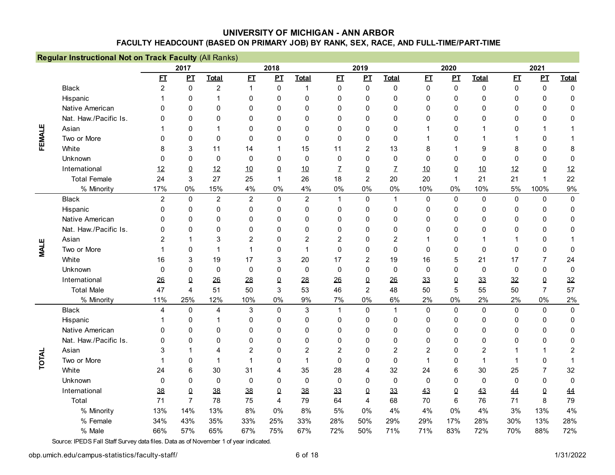|             | Regular Instructional Not on Track Faculty (All Ranks) |                |                |                |                |             |                  |                |                |                |                  |              |                |              |                  |                  |
|-------------|--------------------------------------------------------|----------------|----------------|----------------|----------------|-------------|------------------|----------------|----------------|----------------|------------------|--------------|----------------|--------------|------------------|------------------|
|             |                                                        |                | 2017           |                |                | 2018        |                  |                | 2019           |                |                  | 2020         |                |              | 2021             |                  |
|             |                                                        | E              | PL             | <b>Total</b>   | E I            | PL          | <b>Total</b>     | E              | $\mathbf{p}$   | <b>Total</b>   | E                | PL           | <b>Total</b>   | E1           | PI               | <b>Total</b>     |
|             | <b>Black</b>                                           | $\overline{2}$ | $\mathbf 0$    | $\overline{2}$ | $\mathbf{1}$   | $\mathbf 0$ | $\mathbf{1}$     | $\mathbf 0$    | $\mathbf 0$    | $\mathbf 0$    | $\Omega$         | $\mathbf 0$  | $\mathbf 0$    | $\pmb{0}$    | $\mathbf 0$      | $\Omega$         |
|             | Hispanic                                               |                | $\Omega$       | $\overline{1}$ | $\Omega$       | 0           | 0                | $\Omega$       | $\mathbf{0}$   | $\mathbf{0}$   | 0                | $\Omega$     | $\mathbf{0}$   | $\mathbf{0}$ | $\mathbf{0}$     | $\mathbf{0}$     |
|             | Native American                                        | $\Omega$       | $\Omega$       | $\mathbf{0}$   | $\Omega$       | 0           | $\Omega$         | $\Omega$       | $\mathbf 0$    | $\mathbf{0}$   | $\mathbf{0}$     | $\mathbf{0}$ | $\Omega$       | $\mathbf{0}$ | $\Omega$         | 0                |
|             | Nat. Haw./Pacific Is.                                  | U              | $\Omega$       | $\mathbf{0}$   | $\mathbf 0$    | 0           | $\mathbf{0}$     | 0              | $\mathbf 0$    | $\mathbf{0}$   | 0                | 0            | $\mathbf 0$    | $\mathbf 0$  | $\mathbf 0$      | 0                |
|             | Asian                                                  |                | $\mathbf{0}$   | 1              | $\mathbf 0$    | 0           | $\mathbf{0}$     | $\mathbf 0$    | $\mathbf 0$    | $\mathbf{0}$   | 1                | $\mathbf 0$  | $\mathbf 1$    | 0            | 1                |                  |
| FEMALE      | Two or More                                            | $\Omega$       | $\mathbf{0}$   | $\mathbf 0$    | $\Omega$       | 0           | $\mathbf 0$      | $\Omega$       | $\mathbf 0$    | $\Omega$       | 1                | $\mathbf 0$  | 1              | $\mathbf{1}$ | $\mathbf 0$      |                  |
|             | White                                                  | 8              | 3              | 11             | 14             | 1           | 15               | 11             | $\overline{2}$ | 13             | 8                | 1            | 9              | 8            | $\boldsymbol{0}$ | 8                |
|             | Unknown                                                | $\Omega$       | $\Omega$       | $\mathbf{0}$   | 0              | 0           | $\Omega$         | 0              | $\mathbf{0}$   | $\mathbf 0$    | 0                | 0            | $\mathbf{0}$   | $\mathbf 0$  | $\boldsymbol{0}$ | 0                |
|             | International                                          | 12             | $\Omega$       | 12             | 10             | 0           | 10               | Z              | $\Omega$       | $\mathcal{I}$  | 10               | $\Omega$     | 10             | 12           | $\overline{0}$   | 12               |
|             | <b>Total Female</b>                                    | 24             | 3              | 27             | 25             | 1           | 26               | 18             | $\overline{2}$ | 20             | 20               | 1            | 21             | 21           | $\mathbf{1}$     | 22               |
|             | % Minority                                             | 17%            | 0%             | 15%            | 4%             | 0%          | 4%               | 0%             | $0\%$          | 0%             | 10%              | 0%           | 10%            | 5%           | 100%             | 9%               |
|             | <b>Black</b>                                           | $\overline{2}$ | $\mathbf 0$    | $\overline{2}$ | $\overline{2}$ | $\mathbf 0$ | $\overline{c}$   | $\mathbf{1}$   | 0              | $\mathbf{1}$   | 0                | $\pmb{0}$    | $\pmb{0}$      | $\pmb{0}$    | $\mathbf 0$      | $\pmb{0}$        |
|             | Hispanic                                               | $\mathbf{0}$   | $\mathbf{0}$   | $\mathbf 0$    | $\mathbf 0$    | 0           | 0                | $\mathbf 0$    | $\mathbf 0$    | 0              | 0                | 0            | $\mathbf 0$    | 0            | $\mathbf 0$      | $\mathbf 0$      |
|             | Native American                                        | $\Omega$       | $\Omega$       | $\mathbf{0}$   | $\mathbf 0$    | 0           | $\mathbf{0}$     | $\Omega$       | $\mathbf 0$    | $\mathbf{0}$   | 0                | 0            | $\mathbf 0$    | 0            | $\boldsymbol{0}$ | $\mathbf 0$      |
|             | Nat. Haw./Pacific Is.                                  | 0              | $\Omega$       | $\mathbf{0}$   | $\Omega$       | $\Omega$    | $\mathbf{0}$     | $\Omega$       | $\mathbf 0$    | $\mathbf{0}$   | $\mathbf{0}$     | $\mathbf{0}$ | $\mathbf{0}$   | $\mathbf{0}$ | $\boldsymbol{0}$ | $\mathbf{0}$     |
|             | Asian                                                  | 2              |                | 3              | $\overline{2}$ | 0           | 2                | 2              | $\Omega$       | $\overline{c}$ | 1                | $\mathbf{0}$ | 1              | 1            | $\mathbf{0}$     |                  |
| <b>MALE</b> | Two or More                                            |                | $\Omega$       | 1              | $\overline{1}$ | 0           |                  | $\Omega$       | $\mathbf{0}$   | $\Omega$       | 0                | $\mathbf{0}$ | $\mathbf{0}$   | $\Omega$     | $\mathbf 0$      | $\mathbf{0}$     |
|             | White                                                  | 16             | 3              | 19             | 17             | 3           | 20               | 17             | 2              | 19             | 16               | 5            | 21             | 17           | $\overline{7}$   | 24               |
|             | Unknown                                                | $\Omega$       | $\Omega$       | $\mathbf 0$    | $\mathbf 0$    | 0           | 0                | $\mathbf 0$    | $\mathbf 0$    | 0              | 0                | 0            | $\mathbf 0$    | $\mathbf 0$  | $\mathbf 0$      | $\boldsymbol{0}$ |
|             | International                                          | 26             | 0              | 26             | 28             | 0           | 28               | 26             | $\pmb{0}$      | 26             | 33               | 0            | 33             | 32           | $\Omega$         | 32               |
|             | <b>Total Male</b>                                      | 47             | 4              | 51             | 50             | 3           | 53               | 46             | $\overline{2}$ | 48             | 50               | 5            | 55             | 50           | $\overline{7}$   | 57               |
|             | % Minority                                             | 11%            | 25%            | 12%            | 10%            | 0%          | 9%               | 7%             | 0%             | 6%             | 2%               | 0%           | 2%             | 2%           | 0%               | 2%               |
|             | <b>Black</b>                                           | 4              | $\mathbf 0$    | $\overline{4}$ | $\sqrt{3}$     | $\mathbf 0$ | 3                | $\mathbf{1}$   | $\mathbf 0$    | $\mathbf{1}$   | $\boldsymbol{0}$ | $\mathbf 0$  | $\mathbf 0$    | $\mathbf 0$  | $\mathbf 0$      | $\mathbf 0$      |
|             | Hispanic                                               |                | 0              | 1              | 0              | 0           | 0                | 0              | 0              | 0              | 0                | 0            | 0              | 0            | 0                | 0                |
|             | Native American                                        | 0              | 0              | $\mathbf{0}$   | 0              | 0           | 0                | $\Omega$       | $\mathbf 0$    | $\mathbf{0}$   | 0                | $\mathbf{0}$ | $\mathbf 0$    | 0            | $\mathbf 0$      | 0                |
|             | Nat. Haw./Pacific Is.                                  | N              | $\mathbf{0}$   | $\mathbf{0}$   | $\mathbf 0$    | 0           | 0                | $\Omega$       | $\mathbf 0$    | 0              | $\mathbf{0}$     | $\mathbf{0}$ | $\mathbf{0}$   | $\mathbf{0}$ | $\Omega$         | 0                |
|             | Asian                                                  | 3              | 1              | $\overline{4}$ | $\overline{2}$ | 0           | $\overline{c}$   | $\overline{2}$ | $\mathbf 0$    | $\overline{c}$ | $\overline{2}$   | $\mathbf 0$  | $\overline{c}$ | 1            | 1                | $\boldsymbol{2}$ |
| TOTAL       | Two or More                                            |                | 0              | $\mathbf 1$    | $\mathbf{1}$   | 0           | $\mathbf 1$      | $\mathbf 0$    | $\mathbf 0$    | 0              | 1                | $\mathbf 0$  | $\overline{1}$ | 1            | $\mathbf 0$      |                  |
|             | White                                                  | 24             | 6              | 30             | 31             | 4           | 35               | 28             | 4              | 32             | 24               | 6            | 30             | 25           | 7                | 32               |
|             | Unknown                                                | $\mathbf{0}$   | 0              | $\mathbf 0$    | $\mathbf 0$    | 0           | $\boldsymbol{0}$ | $\mathbf 0$    | $\mathbf 0$    | $\mathbf 0$    | $\boldsymbol{0}$ | 0            | $\mathbf 0$    | 0            | $\boldsymbol{0}$ | $\mathbf 0$      |
|             | International                                          | 38             | $\pmb{0}$      | 38             | 38             | 0           | 38               | 33             | $\Omega$       | 33             | 43               | $\Omega$     | 43             | 44           | $\Omega$         | 44               |
|             | Total                                                  | 71             | $\overline{7}$ | 78             | 75             | 4           | 79               | 64             | 4              | 68             | 70               | 6            | 76             | 71           | 8                | 79               |
|             | % Minority                                             | 13%            | 14%            | 13%            | 8%             | 0%          | 8%               | 5%             | $0\%$          | 4%             | 4%               | 0%           | 4%             | 3%           | 13%              | 4%               |
|             | % Female                                               | 34%            | 43%            | 35%            | 33%            | 25%         | 33%              | 28%            | 50%            | 29%            | 29%              | 17%          | 28%            | 30%          | 13%              | 28%              |
|             | % Male                                                 | 66%            | 57%            | 65%            | 67%            | 75%         | 67%              | 72%            | 50%            | 71%            | 71%              | 83%          | 72%            | 70%          | 88%              | 72%              |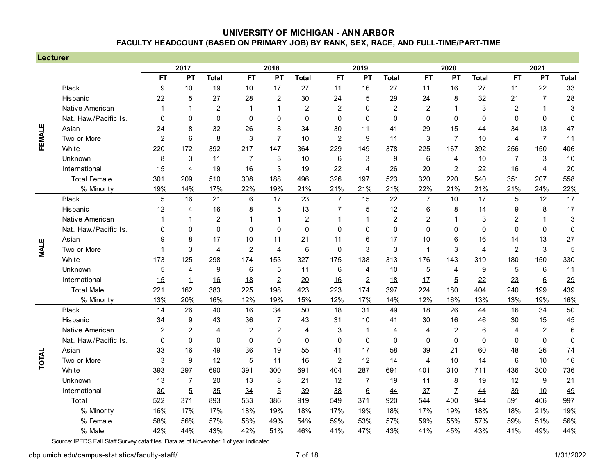| Lecturer    |                       |                  |                |                |                |                |                |                  |                |                |                |                |                |                  |                 |                           |
|-------------|-----------------------|------------------|----------------|----------------|----------------|----------------|----------------|------------------|----------------|----------------|----------------|----------------|----------------|------------------|-----------------|---------------------------|
|             |                       |                  | 2017           |                |                | 2018           |                |                  | 2019           |                |                | 2020           |                |                  | 2021            |                           |
|             |                       | E                | PI             | <b>Total</b>   | E              | PI             | <b>Total</b>   | E                | PI             | <b>Total</b>   | E              | $\mathbf{P}$   | <b>Total</b>   | E                | $\mathbf{p}$    | <b>Total</b>              |
|             | <b>Black</b>          | $\boldsymbol{9}$ | 10             | 19             | 10             | 17             | 27             | 11               | 16             | 27             | 11             | 16             | 27             | 11               | 22              | 33                        |
|             | Hispanic              | 22               | 5              | 27             | 28             | $\overline{c}$ | 30             | 24               | 5              | 29             | 24             | 8              | 32             | 21               | $\overline{7}$  | 28                        |
|             | Native American       | $\mathbf 1$      | 1              | $\overline{c}$ | 1              | $\mathbf 1$    | $\overline{c}$ | $\overline{c}$   | $\mathbf 0$    | $\overline{2}$ | $\overline{c}$ | 1              | 3              | $\overline{c}$   | 1               | $\ensuremath{\mathsf{3}}$ |
|             | Nat. Haw./Pacific Is. | $\Omega$         | $\mathbf{0}$   | $\mathbf 0$    | $\mathbf 0$    | $\Omega$       | $\mathbf 0$    | $\mathbf 0$      | $\mathbf 0$    | $\mathbf{0}$   | 0              | $\mathbf 0$    | $\mathbf 0$    | $\mathbf 0$      | 0               | $\mathbf 0$               |
|             | Asian                 | 24               | 8              | 32             | 26             | 8              | 34             | 30               | 11             | 41             | 29             | 15             | 44             | 34               | 13              | 47                        |
| FEMALE      | Two or More           | $\overline{2}$   | 6              | 8              | 3              | $\overline{7}$ | 10             | $\overline{2}$   | 9              | 11             | 3              | $\overline{7}$ | 10             | $\overline{4}$   | $\overline{7}$  | 11                        |
|             | White                 | 220              | 172            | 392            | 217            | 147            | 364            | 229              | 149            | 378            | 225            | 167            | 392            | 256              | 150             | 406                       |
|             | Unknown               | 8                | 3              | 11             | $\overline{7}$ | 3              | 10             | 6                | 3              | 9              | 6              | 4              | 10             | $\overline{7}$   | 3               | 10                        |
|             | International         | 15               | $\overline{4}$ | 19             | 16             | 3              | 19             | 22               | $\overline{4}$ | 26             | 20             | $\overline{2}$ | 22             | 16               | $\overline{4}$  | 20                        |
|             | <b>Total Female</b>   | 301              | 209            | 510            | 308            | 188            | 496            | 326              | 197            | 523            | 320            | 220            | 540            | 351              | 207             | 558                       |
|             | % Minority            | 19%              | 14%            | 17%            | 22%            | 19%            | 21%            | 21%              | 21%            | 21%            | 22%            | 21%            | 21%            | 21%              | 24%             | 22%                       |
|             | <b>Black</b>          | 5                | 16             | 21             | $\,6\,$        | 17             | 23             | $\overline{7}$   | 15             | 22             | $\overline{7}$ | 10             | 17             | $\mathbf 5$      | 12              | 17                        |
|             | Hispanic              | 12               | 4              | 16             | 8              | 5              | 13             | 7                | 5              | 12             | 6              | 8              | 14             | $\boldsymbol{9}$ | 8               | 17                        |
|             | Native American       | 1                |                | $\overline{2}$ | 1              | 1              | $\overline{2}$ |                  | 1              | $\overline{2}$ | 2              | 1              | 3              | $\overline{c}$   | 1               | 3                         |
|             | Nat. Haw./Pacific Is. | 0                | 0              | $\Omega$       | $\Omega$       | $\mathbf{0}$   | $\Omega$       | $\Omega$         | $\Omega$       | $\mathbf{0}$   | $\Omega$       | 0              | $\Omega$       | $\Omega$         | $\Omega$        | $\pmb{0}$                 |
|             | Asian                 | 9                | 8              | 17             | 10             | 11             | 21             | 11               | 6              | 17             | 10             | 6              | 16             | 14               | 13              | 27                        |
| <b>MALE</b> | Two or More           | 1                | 3              | 4              | 2              | $\overline{4}$ | 6              | $\mathbf 0$      | 3              | 3              | 1              | 3              | $\overline{4}$ | $\overline{2}$   | 3               | 5                         |
|             | White                 | 173              | 125            | 298            | 174            | 153            | 327            | 175              | 138            | 313            | 176            | 143            | 319            | 180              | 150             | 330                       |
|             | Unknown               | 5                | 4              | 9              | $\,6$          | 5              | 11             | 6                | $\overline{4}$ | 10             | $\overline{5}$ | 4              | 9              | $\overline{5}$   | $6\phantom{1}6$ | 11                        |
|             | International         | 15               | 1              | 16             | 18             | $\overline{2}$ | 20             | 16               | $\overline{2}$ | 18             | 17             | 5              | 22             | 23               | 6               | 29                        |
|             | <b>Total Male</b>     | 221              | 162            | 383            | 225            | 198            | 423            | 223              | 174            | 397            | 224            | 180            | 404            | 240              | 199             | 439                       |
|             | % Minority            | 13%              | 20%            | 16%            | 12%            | 19%            | 15%            | 12%              | 17%            | 14%            | 12%            | 16%            | 13%            | 13%              | 19%             | 16%                       |
|             | <b>Black</b>          | 14               | 26             | 40             | 16             | 34             | 50             | 18               | 31             | 49             | 18             | 26             | 44             | 16               | 34              | 50                        |
|             | Hispanic              | 34               | 9              | 43             | 36             | $\overline{7}$ | 43             | 31               | 10             | 41             | 30             | 16             | 46             | 30               | 15              | 45                        |
|             | Native American       | $\overline{c}$   | $\overline{2}$ | 4              | $\overline{c}$ | $\overline{c}$ | 4              | 3                | $\mathbf 1$    | $\overline{4}$ | 4              | $\overline{c}$ | 6              | 4                | $\overline{c}$  | $6\phantom{1}6$           |
|             | Nat. Haw./Pacific Is. | 0                | $\mathbf 0$    | 0              | $\mathbf 0$    | $\Omega$       | $\mathbf 0$    | $\mathbf 0$      | $\mathbf 0$    | $\mathbf{0}$   | 0              | $\mathbf{0}$   | $\mathbf 0$    | $\mathbf 0$      | $\mathbf 0$     | $\pmb{0}$                 |
|             | Asian                 | 33               | 16             | 49             | 36             | 19             | 55             | 41               | 17             | 58             | 39             | 21             | 60             | 48               | 26              | 74                        |
| TOTAL       | Two or More           | 3                | 9              | 12             | 5              | 11             | 16             | $\boldsymbol{2}$ | 12             | 14             | 4              | 10             | 14             | 6                | 10              | 16                        |
|             | White                 | 393              | 297            | 690            | 391            | 300            | 691            | 404              | 287            | 691            | 401            | 310            | 711            | 436              | 300             | 736                       |
|             | Unknown               | 13               | $\overline{7}$ | 20             | 13             | 8              | 21             | 12               | $\overline{7}$ | 19             | 11             | 8              | 19             | 12               | 9               | 21                        |
|             | International         | 30               | $\overline{5}$ | 35             | 34             | $\overline{5}$ | 39             | 38               | $6\phantom{1}$ | 44             | 37             | Z              | 44             | 39               | 10              | 49                        |
|             | Total                 | 522              | 371            | 893            | 533            | 386            | 919            | 549              | 371            | 920            | 544            | 400            | 944            | 591              | 406             | 997                       |
|             | % Minority            | 16%              | 17%            | 17%            | 18%            | 19%            | 18%            | 17%              | 19%            | 18%            | 17%            | 19%            | 18%            | 18%              | 21%             | 19%                       |
|             | % Female              | 58%              | 56%            | 57%            | 58%            | 49%            | 54%            | 59%              | 53%            | 57%            | 59%            | 55%            | 57%            | 59%              | 51%             | 56%                       |
|             | % Male                | 42%              | 44%            | 43%            | 42%            | 51%            | 46%            | 41%              | 47%            | 43%            | 41%            | 45%            | 43%            | 41%              | 49%             | 44%                       |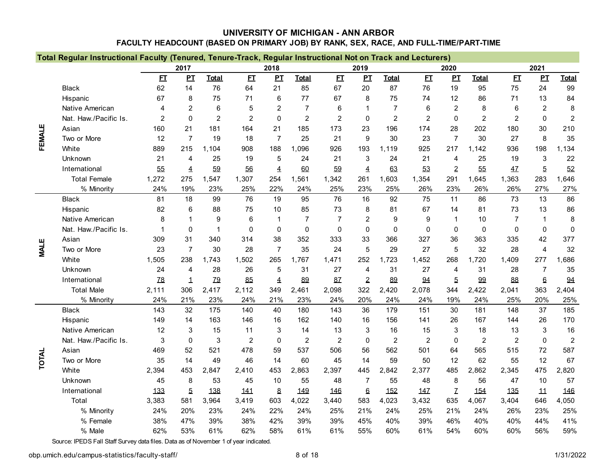|              | Total Regular Instructional Faculty (Tenured, Tenure-Track, Regular Instructional Not on Track and Lecturers) |                |                |                |                |                |                |                |                |                |                |                  |                |                |                  |                |
|--------------|---------------------------------------------------------------------------------------------------------------|----------------|----------------|----------------|----------------|----------------|----------------|----------------|----------------|----------------|----------------|------------------|----------------|----------------|------------------|----------------|
|              |                                                                                                               |                | 2017           |                |                | 2018           |                |                | 2019           |                |                | 2020             |                |                | 2021             |                |
|              |                                                                                                               | E              | PL             | <b>Total</b>   | E              | PI             | <b>Total</b>   | E              | PL             | <b>Total</b>   | E              | PL               | <b>Total</b>   | E I            | PL               | <b>Total</b>   |
|              | <b>Black</b>                                                                                                  | 62             | 14             | 76             | 64             | 21             | 85             | 67             | 20             | 87             | 76             | 19               | 95             | 75             | 24               | 99             |
|              | Hispanic                                                                                                      | 67             | 8              | 75             | 71             | 6              | 77             | 67             | 8              | 75             | 74             | 12               | 86             | 71             | 13               | 84             |
|              | Native American                                                                                               | 4              | 2              | 6              | 5              | $\overline{2}$ | $\overline{7}$ | 6              | $\mathbf 1$    | $\overline{7}$ | 6              | $\overline{2}$   | 8              | 6              | $\overline{2}$   | $\bf 8$        |
|              | Nat. Haw./Pacific Is.                                                                                         | $\overline{2}$ | $\mathbf{0}$   | $\overline{2}$ | $\overline{2}$ | $\mathbf 0$    | $\overline{c}$ | $\overline{c}$ | $\mathbf 0$    | $\overline{2}$ | $\overline{2}$ | $\boldsymbol{0}$ | $\overline{c}$ | $\overline{c}$ | $\boldsymbol{0}$ | $\overline{2}$ |
|              | Asian                                                                                                         | 160            | 21             | 181            | 164            | 21             | 185            | 173            | 23             | 196            | 174            | 28               | 202            | 180            | 30               | 210            |
| FEMALE       | Two or More                                                                                                   | 12             | $\overline{7}$ | 19             | 18             | $\overline{7}$ | 25             | 21             | 9              | 30             | 23             | $\overline{7}$   | 30             | 27             | 8                | 35             |
|              | White                                                                                                         | 889            | 215            | 1,104          | 908            | 188            | 1,096          | 926            | 193            | 1,119          | 925            | 217              | 1,142          | 936            | 198              | 1,134          |
|              | Unknown                                                                                                       | 21             | 4              | 25             | 19             | 5              | 24             | 21             | 3              | 24             | 21             | $\overline{4}$   | 25             | 19             | 3                | 22             |
|              | International                                                                                                 | 55             | 4              | 59             | 56             | $\overline{4}$ | 60             | 59             | $\overline{4}$ | 63             | 53             | $\overline{2}$   | 55             | 47             | $\overline{5}$   | 52             |
|              | <b>Total Female</b>                                                                                           | 1,272          | 275            | 1,547          | 1,307          | 254            | 1.561          | 1,342          | 261            | 1,603          | 1,354          | 291              | 1,645          | 1,363          | 283              | 1,646          |
|              | % Minority                                                                                                    | 24%            | 19%            | 23%            | 25%            | 22%            | 24%            | 25%            | 23%            | 25%            | 26%            | 23%              | 26%            | 26%            | 27%              | 27%            |
|              | <b>Black</b>                                                                                                  | 81             | 18             | 99             | 76             | 19             | 95             | 76             | 16             | 92             | 75             | 11               | 86             | 73             | 13               | 86             |
|              | Hispanic                                                                                                      | 82             | 6              | 88             | 75             | 10             | 85             | 73             | 8              | 81             | 67             | 14               | 81             | 73             | 13               | 86             |
|              | Native American                                                                                               | 8              |                | 9              | 6              | 1              | $\overline{7}$ | $\overline{7}$ | $\overline{2}$ | 9              | 9              | 1                | 10             | $\overline{7}$ | $\mathbf{1}$     | 8              |
|              | Nat. Haw./Pacific Is.                                                                                         | 1              | $\Omega$       | $\overline{1}$ | $\Omega$       | $\Omega$       | $\Omega$       | $\Omega$       | $\mathbf{0}$   | $\Omega$       | $\mathbf{0}$   | $\Omega$         | $\Omega$       | 0              | $\mathbf 0$      | $\mathbf 0$    |
|              | Asian                                                                                                         | 309            | 31             | 340            | 314            | 38             | 352            | 333            | 33             | 366            | 327            | 36               | 363            | 335            | 42               | 377            |
| <b>MALE</b>  | Two or More                                                                                                   | 23             | $\overline{7}$ | 30             | 28             | $\overline{7}$ | 35             | 24             | 5              | 29             | 27             | 5                | 32             | 28             | $\overline{4}$   | 32             |
|              | White                                                                                                         | 1,505          | 238            | 1,743          | 1,502          | 265            | 1,767          | 1,471          | 252            | 1,723          | 1,452          | 268              | 1,720          | 1,409          | 277              | 1,686          |
|              | Unknown                                                                                                       | 24             | 4              | 28             | 26             | 5              | 31             | 27             | 4              | 31             | 27             | $\overline{4}$   | 31             | 28             | 7                | 35             |
|              | International                                                                                                 | <b>78</b>      | 1              | <b>Z9</b>      | 85             | $\overline{4}$ | 89             | 87             | $\overline{2}$ | 89             | 94             | $\overline{5}$   | 99             | 88             | $6 \theta$       | 94             |
|              | <b>Total Male</b>                                                                                             | 2,111          | 306            | 2,417          | 2,112          | 349            | 2,461          | 2,098          | 322            | 2,420          | 2,078          | 344              | 2,422          | 2,041          | 363              | 2,404          |
|              | % Minority                                                                                                    | 24%            | 21%            | 23%            | 24%            | 21%            | 23%            | 24%            | 20%            | 24%            | 24%            | 19%              | 24%            | 25%            | 20%              | 25%            |
|              | <b>Black</b>                                                                                                  | 143            | 32             | 175            | 140            | 40             | 180            | 143            | 36             | 179            | 151            | 30               | 181            | 148            | 37               | 185            |
|              | Hispanic                                                                                                      | 149            | 14             | 163            | 146            | 16             | 162            | 140            | 16             | 156            | 141            | 26               | 167            | 144            | 26               | 170            |
|              | Native American                                                                                               | 12             | 3              | 15             | 11             | 3              | 14             | 13             | 3              | 16             | 15             | 3                | 18             | 13             | 3                | 16             |
|              | Nat. Haw./Pacific Is.                                                                                         | 3              | $\Omega$       | $\mathbf{3}$   | $\overline{2}$ | $\mathbf 0$    | $\overline{c}$ | $\overline{2}$ | $\mathbf 0$    | $\overline{c}$ | $\overline{2}$ | 0                | $\overline{2}$ | $\overline{2}$ | $\mathbf 0$      | $\overline{2}$ |
|              | Asian                                                                                                         | 469            | 52             | 521            | 478            | 59             | 537            | 506            | 56             | 562            | 501            | 64               | 565            | 515            | 72               | 587            |
| <b>TOTAL</b> | Two or More                                                                                                   | 35             | 14             | 49             | 46             | 14             | 60             | 45             | 14             | 59             | 50             | 12               | 62             | 55             | 12               | 67             |
|              | White                                                                                                         | 2,394          | 453            | 2,847          | 2,410          | 453            | 2,863          | 2,397          | 445            | 2,842          | 2,377          | 485              | 2,862          | 2,345          | 475              | 2,820          |
|              | Unknown                                                                                                       | 45             | 8              | 53             | 45             | 10             | 55             | 48             | $\overline{7}$ | 55             | 48             | 8                | 56             | 47             | 10               | 57             |
|              | International                                                                                                 | 133            | $\overline{5}$ | 138            | 141            | 8              | 149            | 146            | $6\phantom{1}$ | 152            | 147            | Z                | 154            | 135            | 11               | 146            |
|              | Total                                                                                                         | 3,383          | 581            | 3,964          | 3,419          | 603            | 4,022          | 3,440          | 583            | 4,023          | 3,432          | 635              | 4,067          | 3,404          | 646              | 4,050          |
|              | % Minority                                                                                                    | 24%            | 20%            | 23%            | 24%            | 22%            | 24%            | 25%            | 21%            | 24%            | 25%            | 21%              | 24%            | 26%            | 23%              | 25%            |
|              | % Female                                                                                                      | 38%            | 47%            | 39%            | 38%            | 42%            | 39%            | 39%            | 45%            | 40%            | 39%            | 46%              | 40%            | 40%            | 44%              | 41%            |
|              | % Male                                                                                                        | 62%            | 53%            | 61%            | 62%            | 58%            | 61%            | 61%            | 55%            | 60%            | 61%            | 54%              | 60%            | 60%            | 56%              | 59%            |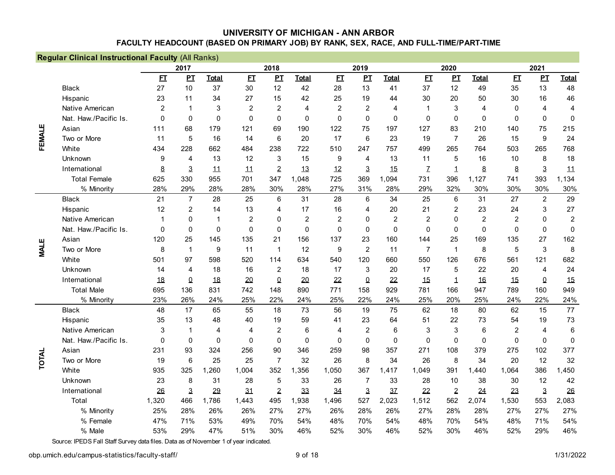|             | Regular Clinical Instructional Faculty (All Ranks) |                  |                |                |                |                |                |                |                |                 |                |                  |                 |                |                  |                 |
|-------------|----------------------------------------------------|------------------|----------------|----------------|----------------|----------------|----------------|----------------|----------------|-----------------|----------------|------------------|-----------------|----------------|------------------|-----------------|
|             |                                                    |                  | 2017           |                |                | 2018           |                |                | 2019           |                 |                | 2020             |                 |                | 2021             |                 |
|             |                                                    | E                | $\mathbf{p}$   | <b>Total</b>   | E              | PL             | <b>Total</b>   | E              | $\mathbf{p}$   | <b>Total</b>    | E              | PL               | <b>Total</b>    | E              | PI               | <b>Total</b>    |
|             | <b>Black</b>                                       | 27               | 10             | 37             | 30             | 12             | 42             | 28             | 13             | 41              | 37             | 12               | 49              | 35             | 13               | 48              |
|             | Hispanic                                           | 23               | 11             | 34             | 27             | 15             | 42             | 25             | 19             | 44              | 30             | 20               | 50              | 30             | 16               | 46              |
|             | Native American                                    | $\overline{2}$   | 1              | 3              | $\overline{2}$ | $\overline{2}$ | 4              | $\overline{2}$ | $\overline{2}$ | 4               | 1              | 3                | $\overline{4}$  | 0              | 4                | $\overline{4}$  |
|             | Nat. Haw./Pacific Is.                              | $\Omega$         | 0              | $\Omega$       | $\mathbf{0}$   | $\Omega$       | $\Omega$       | $\Omega$       | $\Omega$       | 0               | 0              | $\mathbf{0}$     | $\Omega$        | $\mathbf 0$    | 0                | $\mathbf 0$     |
| FEMALE      | Asian                                              | 111              | 68             | 179            | 121            | 69             | 190            | 122            | 75             | 197             | 127            | 83               | 210             | 140            | 75               | 215             |
|             | Two or More                                        | 11               | 5              | 16             | 14             | $\,6\,$        | 20             | 17             | $\,6\,$        | 23              | 19             | $\overline{7}$   | 26              | 15             | 9                | 24              |
|             | White                                              | 434              | 228            | 662            | 484            | 238            | 722            | 510            | 247            | 757             | 499            | 265              | 764             | 503            | 265              | 768             |
|             | Unknown                                            | 9                | 4              | 13             | 12             | 3              | 15             | 9              | $\overline{4}$ | 13              | 11             | 5                | 16              | 10             | 8                | 18              |
|             | International                                      | 8                | 3              | 11             | 11             | $\overline{2}$ | 13             | 12             | 3              | 15              | $\mathcal{I}$  | $\mathbf 1$      | $\bf 8$         | $\bf 8$        | $\overline{3}$   | 11              |
|             | <b>Total Female</b>                                | 625              | 330            | 955            | 701            | 347            | 1.048          | 725            | 369            | 1,094           | 731            | 396              | 1,127           | 741            | 393              | 1,134           |
|             | % Minority                                         | 28%              | 29%            | 28%            | 28%            | 30%            | 28%            | 27%            | 31%            | 28%             | 29%            | 32%              | 30%             | 30%            | 30%              | 30%             |
|             | <b>Black</b>                                       | 21               | $\overline{7}$ | 28             | 25             | 6              | 31             | 28             | 6              | 34              | 25             | 6                | 31              | 27             | $\overline{2}$   | 29              |
|             | Hispanic                                           | 12               | $\overline{c}$ | 14             | 13             | 4              | 17             | 16             | $\overline{4}$ | 20              | 21             | 2                | 23              | 24             | 3                | 27              |
|             | Native American                                    | 1                | 0              | 1              | $\overline{2}$ | 0              | $\overline{2}$ | $\overline{2}$ | 0              | $\overline{2}$  | $\overline{c}$ | 0                | $\overline{2}$  | $\overline{c}$ | 0                | $\overline{c}$  |
|             | Nat. Haw./Pacific Is.                              | 0                | 0              | $\mathbf 0$    | $\mathbf 0$    | $\Omega$       | $\mathbf 0$    | $\mathbf 0$    | $\mathbf 0$    | $\mathbf 0$     | 0              | $\mathbf 0$      | $\mathbf 0$     | $\pmb{0}$      | $\boldsymbol{0}$ | $\pmb{0}$       |
|             | Asian                                              | 120              | 25             | 145            | 135            | 21             | 156            | 137            | 23             | 160             | 144            | 25               | 169             | 135            | 27               | 162             |
| <b>MALE</b> | Two or More                                        | 8                | $\mathbf{1}$   | 9              | 11             | $\overline{1}$ | 12             | 9              | $\overline{2}$ | 11              | $\overline{7}$ | $\mathbf{1}$     | 8               | 5              | 3                | 8               |
|             | White                                              | 501              | 97             | 598            | 520            | 114            | 634            | 540            | 120            | 660             | 550            | 126              | 676             | 561            | 121              | 682             |
|             | Unknown                                            | 14               | 4              | 18             | 16             | $\overline{2}$ | 18             | 17             | 3              | 20              | 17             | 5                | 22              | 20             | $\overline{4}$   | 24              |
|             | International                                      | 18               | 0              | 18             | 20             | $\pmb{0}$      | 20             | 22             | $\Omega$       | 22              | 15             | 1                | 16              | 15             | $\Omega$         | 15              |
|             | <b>Total Male</b>                                  | 695              | 136            | 831            | 742            | 148            | 890            | 771            | 158            | 929             | 781            | 166              | 947             | 789            | 160              | 949             |
|             | % Minority                                         | 23%              | 26%            | 24%            | 25%            | 22%            | 24%            | 25%            | 22%            | 24%             | 25%            | 20%              | 25%             | 24%            | 22%              | 24%             |
|             | <b>Black</b>                                       | 48               | 17             | 65             | 55             | 18             | 73             | 56             | 19             | 75              | 62             | 18               | 80              | 62             | 15               | 77              |
|             | Hispanic                                           | 35               | 13             | 48             | 40             | 19             | 59             | 41             | 23             | 64              | 51             | 22               | 73              | 54             | 19               | 73              |
|             | Native American                                    | 3                | 1              | $\overline{4}$ | $\overline{4}$ | $\overline{2}$ | 6              | 4              | $\overline{c}$ | $6\phantom{1}6$ | 3              | 3                | $6\phantom{1}6$ | $\overline{2}$ | 4                | $6\phantom{1}6$ |
|             | Nat. Haw./Pacific Is.                              | $\boldsymbol{0}$ | 0              | $\mathbf 0$    | $\mathbf 0$    | $\mathbf 0$    | $\mathbf 0$    | $\mathbf 0$    | $\mathbf 0$    | $\mathbf 0$     | 0              | $\boldsymbol{0}$ | $\mathbf 0$     | $\mathbf 0$    | $\boldsymbol{0}$ | $\mathbf 0$     |
|             | Asian                                              | 231              | 93             | 324            | 256            | 90             | 346            | 259            | 98             | 357             | 271            | 108              | 379             | 275            | 102              | 377             |
| TOTAL       | Two or More                                        | 19               | 6              | 25             | 25             | $\overline{7}$ | 32             | 26             | 8              | 34              | 26             | 8                | 34              | 20             | 12               | 32              |
|             | White                                              | 935              | 325            | 1,260          | 1,004          | 352            | 1,356          | 1,050          | 367            | .417<br>1       | 1,049          | 391              | 1,440           | 1,064          | 386              | 1,450           |
|             | Unknown                                            | 23               | 8              | 31             | 28             | 5              | 33             | 26             | $\overline{7}$ | 33              | 28             | 10               | 38              | 30             | 12               | 42              |
|             | International                                      | 26               | 3              | 29             | 31             | $\overline{2}$ | 33             | 34             | 3              | 3 <sub>7</sub>  | 22             | $\overline{2}$   | 24              | 23             | $\overline{3}$   | 26              |
|             | Total                                              | 1,320            | 466            | 1,786          | 1,443          | 495            | 1,938          | 1,496          | 527            | 2,023           | 1,512          | 562              | 2,074           | 1,530          | 553              | 2,083           |
|             | % Minority                                         | 25%              | 28%            | 26%            | 26%            | 27%            | 27%            | 26%            | 28%            | 26%             | 27%            | 28%              | 28%             | 27%            | 27%              | 27%             |
|             | % Female                                           | 47%              | 71%            | 53%            | 49%            | 70%            | 54%            | 48%            | 70%            | 54%             | 48%            | 70%              | 54%             | 48%            | 71%              | 54%             |
|             | % Male                                             | 53%              | 29%            | 47%            | 51%            | 30%            | 46%            | 52%            | 30%            | 46%             | 52%            | 30%              | 46%             | 52%            | 29%              | 46%             |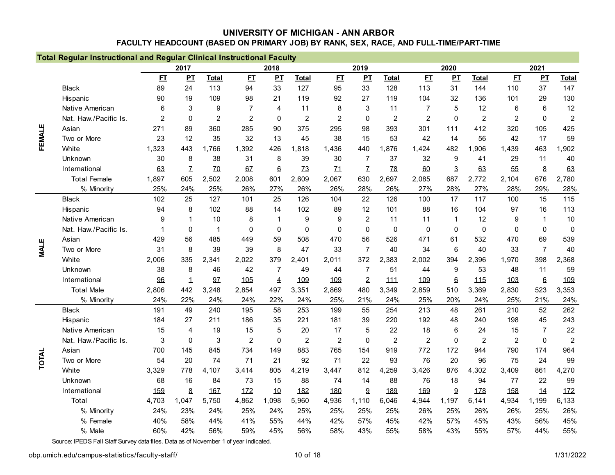|             | <b>Total Regular Instructional and Regular Clinical Instructional Faculty</b> |                |              |                |                |                |                |                |                  |                |                |                  |                |                |                  |                |
|-------------|-------------------------------------------------------------------------------|----------------|--------------|----------------|----------------|----------------|----------------|----------------|------------------|----------------|----------------|------------------|----------------|----------------|------------------|----------------|
|             |                                                                               |                | 2017         |                |                | 2018           |                |                | 2019             |                |                | 2020             |                |                | 2021             |                |
|             |                                                                               | E              | $\mathbf{p}$ | <b>Total</b>   | E              | PL             | <b>Total</b>   | E              | PL               | <b>Total</b>   | E              | $\mathbf{p}$     | <b>Total</b>   | E              | $\mathbf{p}$     | <b>Total</b>   |
|             | <b>Black</b>                                                                  | 89             | 24           | 113            | 94             | 33             | 127            | 95             | 33               | 128            | 113            | 31               | 144            | 110            | 37               | 147            |
|             | Hispanic                                                                      | 90             | 19           | 109            | 98             | 21             | 119            | 92             | 27               | 119            | 104            | 32               | 136            | 101            | 29               | 130            |
|             | Native American                                                               | 6              | 3            | 9              | $\overline{7}$ | 4              | 11             | 8              | 3                | 11             | $\overline{7}$ | 5                | 12             | 6              | 6                | 12             |
|             | Nat. Haw./Pacific Is.                                                         | $\overline{2}$ | $\mathbf{0}$ | $\overline{2}$ | 2              | $\mathbf{0}$   | $\overline{c}$ | $\overline{2}$ | 0                | $\overline{2}$ | $\overline{2}$ | $\mathbf 0$      | $\overline{2}$ | $\overline{2}$ | $\mathbf 0$      | $\sqrt{2}$     |
|             | Asian                                                                         | 271            | 89           | 360            | 285            | 90             | 375            | 295            | 98               | 393            | 301            | 111              | 412            | 320            | 105              | 425            |
| FEMALE      | Two or More                                                                   | 23             | 12           | 35             | 32             | 13             | 45             | 38             | 15               | 53             | 42             | 14               | 56             | 42             | 17               | 59             |
|             | White                                                                         | 1,323          | 443          | 1,766          | 1,392          | 426            | 1.818          | 1,436          | 440              | .876           | 1.424          | 482              | 1.906          | 1,439          | 463              | 1,902          |
|             | Unknown                                                                       | 30             | 8            | 38             | 31             | 8              | 39             | 30             | $\overline{7}$   | 37             | 32             | 9                | 41             | 29             | 11               | 40             |
|             | International                                                                 | 63             | Z            | 70             | 6Z             | $6\phantom{1}$ | Z <sub>3</sub> | 11             | Z                | Z8             | 60             | 3                | 63             | 55             | 8                | 63             |
|             | <b>Total Female</b>                                                           | 1,897          | 605          | 2,502          | 2,008          | 601            | 2,609          | 2,067          | 630              | 2,697          | 2,085          | 687              | 2,772          | 2,104          | 676              | 2,780          |
|             | % Minority                                                                    | 25%            | 24%          | 25%            | 26%            | 27%            | 26%            | 26%            | 28%              | 26%            | 27%            | 28%              | 27%            | 28%            | 29%              | 28%            |
|             | <b>Black</b>                                                                  | 102            | 25           | 127            | 101            | 25             | 126            | 104            | 22               | 126            | 100            | 17               | 117            | 100            | 15               | 115            |
|             | Hispanic                                                                      | 94             | 8            | 102            | 88             | 14             | 102            | 89             | 12               | 101            | 88             | 16               | 104            | 97             | 16               | 113            |
|             | Native American                                                               | 9              |              | 10             | 8              | 1              | 9              | 9              | $\overline{2}$   | 11             | 11             | 1                | 12             | 9              | 1                | 10             |
|             | Nat. Haw./Pacific Is.                                                         | $\mathbf 1$    | 0            | $\mathbf 1$    | $\Omega$       | $\mathbf{0}$   | $\Omega$       | $\Omega$       | $\Omega$         | $\Omega$       | $\mathbf 0$    | $\mathbf 0$      | $\Omega$       | $\mathbf{0}$   | $\mathbf 0$      | $\mathbf 0$    |
|             | Asian                                                                         | 429            | 56           | 485            | 449            | 59             | 508            | 470            | 56               | 526            | 471            | 61               | 532            | 470            | 69               | 539            |
| <b>MALE</b> | Two or More                                                                   | 31             | 8            | 39             | 39             | 8              | 47             | 33             | $\overline{7}$   | 40             | 34             | 6                | 40             | 33             | $\overline{7}$   | 40             |
|             | White                                                                         | 2,006          | 335          | 2,341          | 2,022          | 379            | 2,401          | 2,011          | 372              | 2,<br>,383     | 2,002          | 394              | 2,396          | 1,970          | 398              | 2,368          |
|             | Unknown                                                                       | 38             | 8            | 46             | 42             | $\overline{7}$ | 49             | 44             | 7                | 51             | 44             | 9                | 53             | 48             | 11               | 59             |
|             | International                                                                 | 96             | 1            | 97             | 105            | $\overline{4}$ | 109            | 109            | $\overline{2}$   | 111            | 109            | 6                | 115            | 103            | $6 \overline{6}$ | 109            |
|             | <b>Total Male</b>                                                             | 2,806          | 442          | 3,248          | 2,854          | 497            | 3,351          | 2,869          | 480              | 3,349          | 2,859          | 510              | 3,369          | 2,830          | 523              | 3,353          |
|             | % Minority                                                                    | 24%            | 22%          | 24%            | 24%            | 22%            | 24%            | 25%            | 21%              | 24%            | 25%            | 20%              | 24%            | 25%            | 21%              | 24%            |
|             | <b>Black</b>                                                                  | 191            | 49           | 240            | 195            | 58             | 253            | 199            | 55               | 254            | 213            | 48               | 261            | 210            | 52               | 262            |
|             | Hispanic                                                                      | 184            | 27           | 211            | 186            | 35             | 221            | 181            | 39               | 220            | 192            | 48               | 240            | 198            | 45               | 243            |
|             | Native American                                                               | 15             | 4            | 19             | 15             | 5              | 20             | 17             | 5                | 22             | 18             | 6                | 24             | 15             | $\overline{7}$   | 22             |
|             | Nat. Haw./Pacific Is.                                                         | $\mathsf 3$    | $\mathbf 0$  | $\sqrt{3}$     | $\overline{2}$ | $\mathbf 0$    | $\overline{c}$ | $\overline{c}$ | $\boldsymbol{0}$ | $\overline{c}$ | $\overline{2}$ | $\boldsymbol{0}$ | $\overline{c}$ | $\overline{c}$ | $\mathbf 0$      | $\overline{c}$ |
|             | Asian                                                                         | 700            | 145          | 845            | 734            | 149            | 883            | 765            | 154              | 919            | 772            | 172              | 944            | 790            | 174              | 964            |
| TOTAL       | Two or More                                                                   | 54             | 20           | 74             | 71             | 21             | 92             | 71             | 22               | 93             | 76             | 20               | 96             | 75             | 24               | 99             |
|             | White                                                                         | 3,329          | 778          | 4,107          | 3,414          | 805            | 4,219          | 3,447          | 812              | ,259<br>4      | 3,426          | 876              | 4,302          | 3,409          | 861              | 4,270          |
|             | Unknown                                                                       | 68             | 16           | 84             | 73             | 15             | 88             | 74             | 14               | 88             | 76             | 18               | 94             | 77             | 22               | 99             |
|             | International                                                                 | 159            | 8            | 167            | 172            | 10             | 182            | 180            | 9                | 189            | 169            | $9\,$            | 178            | 158            | 14               | 172            |
|             | Total                                                                         | 4,703          | 1,047        | 5,750          | 4,862          | 1,098          | 5,960          | 4,936          | 1,110            | 6,046          | 4,944          | 1,197            | 6,141          | 4,934          | 1,199            | 6,133          |
|             | % Minority                                                                    | 24%            | 23%          | 24%            | 25%            | 24%            | 25%            | 25%            | 25%              | 25%            | 26%            | 25%              | 26%            | 26%            | 25%              | 26%            |
|             | % Female                                                                      | 40%            | 58%          | 44%            | 41%            | 55%            | 44%            | 42%            | 57%              | 45%            | 42%            | 57%              | 45%            | 43%            | 56%              | 45%            |
|             | % Male                                                                        | 60%            | 42%          | 56%            | 59%            | 45%            | 56%            | 58%            | 43%              | 55%            | 58%            | 43%              | 55%            | 57%            | 44%              | 55%            |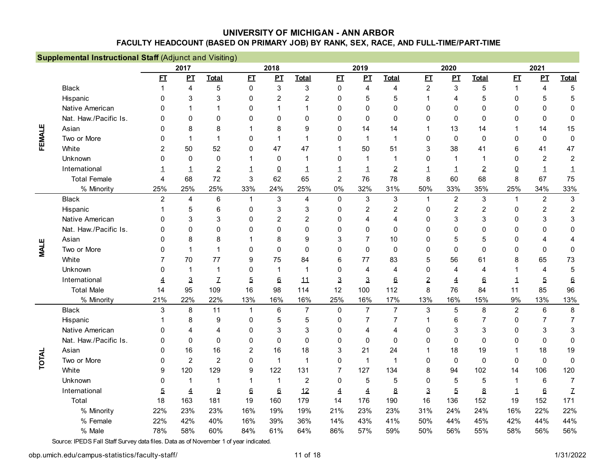|             | <b>Supplemental Instructional Staff (Adjunct and Visiting)</b> |                |                |                |                  |                |                |                |                |                |                |                |                |                |                |                  |
|-------------|----------------------------------------------------------------|----------------|----------------|----------------|------------------|----------------|----------------|----------------|----------------|----------------|----------------|----------------|----------------|----------------|----------------|------------------|
|             |                                                                |                | 2017           |                |                  | 2018           |                |                | 2019           |                |                | 2020           |                |                | 2021           |                  |
|             |                                                                | E              | PI             | <b>Total</b>   | E                | PL             | <b>Total</b>   | E              | $\mathbf{p}$   | <b>Total</b>   | E              | $\mathbf{P}$   | <b>Total</b>   | E              | PI             | <b>Total</b>     |
|             | <b>Black</b>                                                   | 1              | 4              | 5              | $\mathbf 0$      | 3              | 3              | $\mathbf 0$    | $\overline{4}$ | 4              | $\overline{2}$ | 3              | 5              | $\mathbf{1}$   | $\overline{4}$ | 5                |
|             | Hispanic                                                       | 0              | 3              | 3              | $\Omega$         | $\overline{2}$ | $\overline{2}$ | $\Omega$       | 5              | 5              | 1              | 4              | 5              | $\mathbf{0}$   | 5              | 5                |
|             | Native American                                                | 0              |                | $\mathbf 1$    | $\mathbf 0$      | 1              | 1              | $\Omega$       | $\Omega$       | 0              | $\mathbf{0}$   | $\Omega$       | $\mathbf 0$    | $\Omega$       | $\mathbf{0}$   | 0                |
|             | Nat. Haw./Pacific Is.                                          | <sup>0</sup>   | $\Omega$       | $\Omega$       | $\mathbf 0$      | 0              | $\Omega$       | 0              | $\mathbf 0$    | $\mathbf 0$    | 0              | 0              | $\mathbf 0$    | $\mathbf 0$    | $\mathbf 0$    | $\mathbf 0$      |
|             | Asian                                                          | 0              | 8              | 8              |                  | 8              | 9              | $\Omega$       | 14             | 14             | 1              | 13             | 14             | 1              | 14             | 15               |
| FEMALE      | Two or More                                                    | $\Omega$       | 1              | $\mathbf 1$    | $\mathbf 0$      | 1              | $\mathbf 1$    | $\Omega$       | $\mathbf{1}$   | $\mathbf{1}$   | 0              | $\mathbf 0$    | $\mathbf 0$    | $\mathbf 0$    | $\pmb{0}$      | $\mathbf 0$      |
|             | White                                                          | $\overline{2}$ | 50             | 52             | $\Omega$         | 47             | 47             | 1              | 50             | 51             | 3              | 38             | 41             | 6              | 41             | 47               |
|             | Unknown                                                        | 0              | $\Omega$       | $\mathbf{0}$   | 1                | $\mathbf{0}$   | 1              | $\Omega$       | $\mathbf{1}$   | $\mathbf{1}$   | 0              | -1             | 1              | $\Omega$       | $\overline{c}$ | $\overline{2}$   |
|             | International                                                  | 1              | 1              | $\overline{2}$ | 1                | $\Omega$       | 1              | 1              | $\mathbf 1$    | $\overline{2}$ | 1              | 1              | $\overline{2}$ | $\Omega$       | 1              | $\mathbf 1$      |
|             | <b>Total Female</b>                                            | 4              | 68             | 72             | 3                | 62             | 65             | $\overline{2}$ | 76             | 78             | 8              | 60             | 68             | 8              | 67             | 75               |
|             | % Minority                                                     | 25%            | 25%            | 25%            | 33%              | 24%            | 25%            | 0%             | 32%            | 31%            | 50%            | 33%            | 35%            | 25%            | 34%            | 33%              |
|             | <b>Black</b>                                                   | $\overline{2}$ | 4              | 6              | $\mathbf{1}$     | $\mathsf 3$    | $\overline{4}$ | $\mathbf 0$    | $\sqrt{3}$     | $\mathsf 3$    | $\mathbf{1}$   | $\overline{2}$ | $\sqrt{3}$     | $\mathbf{1}$   | $\overline{2}$ | $\mathbf{3}$     |
|             | Hispanic                                                       | 1              | 5              | 6              | $\mathbf 0$      | 3              | 3              | 0              | $\overline{2}$ | $\overline{c}$ | 0              | $\overline{c}$ | $\overline{2}$ | 0              | $\overline{c}$ | $\boldsymbol{2}$ |
|             | Native American                                                | 0              | 3              | 3              | $\Omega$         | $\overline{2}$ | $\overline{2}$ | $\Omega$       | 4              | 4              | 0              | 3              | 3              | $\mathbf 0$    | 3              | 3                |
|             | Nat. Haw./Pacific Is.                                          | <sup>0</sup>   | $\Omega$       | $\Omega$       | $\Omega$         | 0              | $\Omega$       | $\Omega$       | $\Omega$       | $\Omega$       | $\mathbf{0}$   | $\Omega$       | $\mathbf 0$    | $\Omega$       | $\mathbf 0$    | $\Omega$         |
|             | Asian                                                          | <sup>0</sup>   | 8              | 8              |                  | 8              | 9              | 3              | 7              | 10             | 0              | 5              | 5              | $\Omega$       | 4              | 4                |
| <b>MALE</b> | Two or More                                                    | <sup>0</sup>   |                | 1              | $\mathbf 0$      | 0              | $\Omega$       | $\Omega$       | $\Omega$       | $\Omega$       | 0              | $\Omega$       | $\Omega$       | $\Omega$       | $\Omega$       | 0                |
|             | White                                                          | 7              | 70             | 77             | 9                | 75             | 84             | 6              | 77             | 83             | 5              | 56             | 61             | 8              | 65             | 73               |
|             | Unknown                                                        | <sup>0</sup>   | 1              | $\mathbf 1$    | 0                | 1              | 1              | 0              | $\overline{4}$ | 4              | 0              | 4              | $\overline{4}$ |                | 4              | 5                |
|             | International                                                  | 4              | 3              | $\mathcal{I}$  | $\overline{5}$   | 6              | 11             | 3              | 3              | 6              | $\overline{2}$ | 4              | 6              | 1              | 5              | $6 \theta$       |
|             | <b>Total Male</b>                                              | 14             | 95             | 109            | 16               | 98             | 114            | 12             | 100            | 112            | 8              | 76             | 84             | 11             | 85             | 96               |
|             | % Minority                                                     | 21%            | 22%            | 22%            | 13%              | 16%            | 16%            | 25%            | 16%            | 17%            | 13%            | 16%            | 15%            | 9%             | 13%            | 13%              |
|             | <b>Black</b>                                                   | 3              | 8              | 11             | $\mathbf{1}$     | $\,6\,$        | $\overline{7}$ | $\mathbf 0$    | $\overline{7}$ | $\overline{7}$ | $\mathbf{3}$   | 5              | 8              | $\overline{c}$ | $\,6\,$        | 8                |
|             | Hispanic                                                       |                | 8              | 9              | 0                | 5              | 5              | 0              | $\overline{7}$ | $\overline{7}$ | 1              | 6              | $\overline{7}$ | $\mathbf 0$    | $\overline{7}$ | $\overline{7}$   |
|             | Native American                                                | 0              | 4              | 4              | $\mathbf 0$      | 3              | 3              | 0              | $\overline{4}$ | 4              | 0              | 3              | 3              | 0              | 3              | 3                |
|             | Nat. Haw./Pacific Is.                                          | 0              | $\Omega$       | $\Omega$       | $\mathbf 0$      | 0              | $\Omega$       | $\Omega$       | $\Omega$       | $\Omega$       | 0              | $\Omega$       | $\mathbf 0$    | $\mathbf{0}$   | $\mathbf{0}$   | 0                |
|             | Asian                                                          | 0              | 16             | 16             | $\overline{2}$   | 16             | 18             | 3              | 21             | 24             | 1              | 18             | 19             | 1              | 18             | 19               |
| TOTAL       | Two or More                                                    | 0              | $\overline{2}$ | $\overline{2}$ | $\mathbf 0$      | $\mathbf{1}$   | $\mathbf{1}$   | $\mathbf 0$    | $\mathbf{1}$   | $\mathbf 1$    | 0              | $\mathbf 0$    | $\mathbf 0$    | $\mathbf 0$    | $\mathbf 0$    | $\mathbf 0$      |
|             | White                                                          | 9              | 120            | 129            | $\boldsymbol{9}$ | 122            | 131            | 7              | 127            | 134            | 8              | 94             | 102            | 14             | 106            | 120              |
|             | Unknown                                                        | 0              | 1              | $\mathbf{1}$   |                  | $\mathbf{1}$   | $\overline{c}$ | $\mathbf 0$    | 5              | 5              | 0              | 5              | $\overline{5}$ | $\mathbf 1$    | $\,6\,$        | $\overline{7}$   |
|             | International                                                  | 5              | 4              | 9              | $6\,$            | $6\phantom{1}$ | 12             | 4              | $\overline{4}$ | $\pmb{8}$      | $\mathbf{3}$   | $\overline{5}$ | $\pmb{8}$      | $\mathbf 1$    | $6\phantom{1}$ | Z                |
|             | Total                                                          | 18             | 163            | 181            | 19               | 160            | 179            | 14             | 176            | 190            | 16             | 136            | 152            | 19             | 152            | 171              |
|             | % Minority                                                     | 22%            | 23%            | 23%            | 16%              | 19%            | 19%            | 21%            | 23%            | 23%            | 31%            | 24%            | 24%            | 16%            | 22%            | 22%              |
|             | % Female                                                       | 22%            | 42%            | 40%            | 16%              | 39%            | 36%            | 14%            | 43%            | 41%            | 50%            | 44%            | 45%            | 42%            | 44%            | 44%              |
|             | % Male                                                         | 78%            | 58%            | 60%            | 84%              | 61%            | 64%            | 86%            | 57%            | 59%            | 50%            | 56%            | 55%            | 58%            | 56%            | 56%              |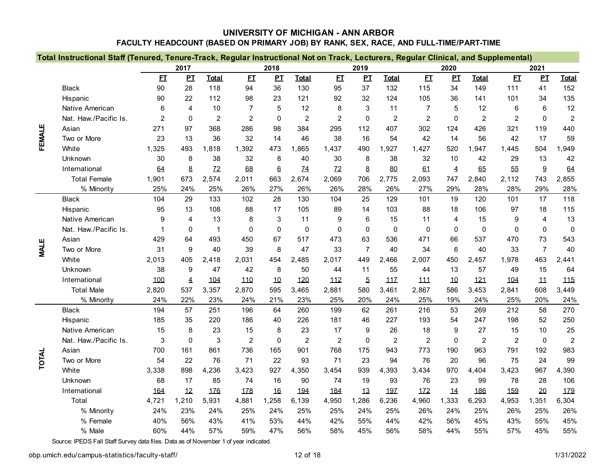|             | Total Instructional Staff (Tenured, Tenure-Track, Regular Instructional Not on Track, Lecturers, Regular Clinical, and Supplemental) |                |             |                |                |              |                |                |                |                |                |                |                |                |                 |                |
|-------------|--------------------------------------------------------------------------------------------------------------------------------------|----------------|-------------|----------------|----------------|--------------|----------------|----------------|----------------|----------------|----------------|----------------|----------------|----------------|-----------------|----------------|
|             |                                                                                                                                      |                | 2017        |                |                | 2018         |                |                | 2019           |                |                | 2020           |                |                | 2021            |                |
|             |                                                                                                                                      | E              | PL          | <b>Total</b>   | E              | PL           | <b>Total</b>   | E              | PL             | <b>Total</b>   | E1             | PL             | <b>Total</b>   | E I            | PL              | <b>Total</b>   |
|             | <b>Black</b>                                                                                                                         | 90             | 28          | 118            | 94             | 36           | 130            | 95             | 37             | 132            | 115            | 34             | 149            | 111            | 41              | 152            |
|             | Hispanic                                                                                                                             | 90             | 22          | 112            | 98             | 23           | 121            | 92             | 32             | 124            | 105            | 36             | 141            | 101            | 34              | 135            |
|             | Native American                                                                                                                      | $6\phantom{1}$ | 4           | 10             | $\overline{7}$ | 5            | 12             | 8              | 3              | 11             | $\overline{7}$ | 5              | 12             | 6              | $6\phantom{1}6$ | 12             |
|             | Nat. Haw./Pacific Is.                                                                                                                | $\overline{2}$ | $\Omega$    | $\overline{c}$ | $\overline{c}$ | 0            | $\overline{c}$ | $\overline{c}$ | $\mathbf 0$    | $\overline{c}$ | $\overline{c}$ | $\mathbf 0$    | $\overline{c}$ | $\overline{c}$ | $\mathbf 0$     | $\sqrt{2}$     |
| FEMALE      | Asian                                                                                                                                | 271            | 97          | 368            | 286            | 98           | 384            | 295            | 112            | 407            | 302            | 124            | 426            | 321            | 119             | 440            |
|             | Two or More                                                                                                                          | 23             | 13          | 36             | 32             | 14           | 46             | 38             | 16             | 54             | 42             | 14             | 56             | 42             | 17              | 59             |
|             | White                                                                                                                                | 1,325          | 493         | 1.818          | 1,392          | 473          | 1.865          | 1,437          | 490            | 1,927          | 1,427          | 520            | 1,947          | 1,445          | 504             | 1,949          |
|             | Unknown                                                                                                                              | 30             | 8           | 38             | 32             | 8            | 40             | 30             | 8              | 38             | 32             | 10             | 42             | 29             | 13              | 42             |
|             | International                                                                                                                        | 64             | 8           | 12             | 68             | 6            | 14             | Z <sub>2</sub> | 8              | 80             | 61             | $\overline{4}$ | 65             | 55             | 9               | 64             |
|             | <b>Total Female</b>                                                                                                                  | 1,901          | 673         | 2,574          | 2,011          | 663          | 2,674          | 2,069          | 706            | 2,775          | 2,093          | 747            | 2,840          | 2,112          | 743             | 2,855          |
|             | % Minority                                                                                                                           | 25%            | 24%         | 25%            | 26%            | 27%          | 26%            | 26%            | 28%            | 26%            | 27%            | 29%            | 28%            | 28%            | 29%             | 28%            |
|             | <b>Black</b>                                                                                                                         | 104            | 29          | 133            | 102            | 28           | 130            | 104            | 25             | 129            | 101            | 19             | 120            | 101            | 17              | 118            |
|             | Hispanic                                                                                                                             | 95             | 13          | 108            | 88             | 17           | 105            | 89             | 14             | 103            | 88             | 18             | 106            | 97             | 18              | 115            |
|             | Native American                                                                                                                      | 9              | 4           | 13             | 8              | 3            | 11             | 9              | 6              | 15             | 11             | $\overline{4}$ | 15             | 9              | 4               | 13             |
|             | Nat. Haw./Pacific Is.                                                                                                                | -1             | $\Omega$    | $\mathbf{1}$   | $\mathbf{0}$   | $\mathbf{0}$ | $\Omega$       | $\Omega$       | $\mathbf{0}$   | $\Omega$       | 0              | $\mathbf{0}$   | $\mathbf{0}$   | $\mathbf{0}$   | $\mathbf 0$     | $\mathbf 0$    |
|             | Asian                                                                                                                                | 429            | 64          | 493            | 450            | 67           | 517            | 473            | 63             | 536            | 471            | 66             | 537            | 470            | 73              | 543            |
| <b>MALE</b> | Two or More                                                                                                                          | 31             | 9           | 40             | 39             | 8            | 47             | 33             | $\overline{7}$ | 40             | 34             | 6              | 40             | 33             | $\overline{7}$  | 40             |
|             | White                                                                                                                                | 2,013          | 405         | 2,418          | 2,031          | 454          | 2,485          | 2,017          | 449            | 2,466          | 2,007          | 450            | 2,457          | 1,978          | 463             | 2,441          |
|             | Unknown                                                                                                                              | 38             | 9           | 47             | 42             | 8            | 50             | 44             | 11             | 55             | 44             | 13             | 57             | 49             | 15              | 64             |
|             | International                                                                                                                        | 100            | 4           | 104            | 110            | 10           | 120            | 112            | $\overline{5}$ | 117            | 111            | 10             | 121            | 104            | 11              | 115            |
|             | <b>Total Male</b>                                                                                                                    | 2,820          | 537         | 3,357          | 2,870          | 595          | 3,465          | 2,881          | 580            | 3,461          | 2,867          | 586            | 3,453          | 2,841          | 608             | 3,449          |
|             | % Minority                                                                                                                           | 24%            | 22%         | 23%            | 24%            | 21%          | 23%            | 25%            | 20%            | 24%            | 25%            | 19%            | 24%            | 25%            | 20%             | 24%            |
|             | <b>Black</b>                                                                                                                         | 194            | 57          | 251            | 196            | 64           | 260            | 199            | 62             | 261            | 216            | 53             | 269            | 212            | 58              | 270            |
|             | Hispanic                                                                                                                             | 185            | 35          | 220            | 186            | 40           | 226            | 181            | 46             | 227            | 193            | 54             | 247            | 198            | 52              | 250            |
|             | Native American                                                                                                                      | 15             | 8           | 23             | 15             | 8            | 23             | 17             | 9              | 26             | 18             | 9              | 27             | 15             | 10              | 25             |
|             | Nat. Haw./Pacific Is.                                                                                                                | 3              | $\mathbf 0$ | $\mathsf 3$    | $\overline{c}$ | $\mathbf 0$  | $\overline{2}$ | $\overline{2}$ | $\mathbf 0$    | $\overline{c}$ | $\overline{2}$ | $\mathbf 0$    | $\overline{2}$ | $\overline{2}$ | $\mathbf 0$     | $\overline{c}$ |
|             | Asian                                                                                                                                | 700            | 161         | 861            | 736            | 165          | 901            | 768            | 175            | 943            | 773            | 190            | 963            | 791            | 192             | 983            |
| TOTAL       | Two or More                                                                                                                          | 54             | 22          | 76             | 71             | 22           | 93             | 71             | 23             | 94             | 76             | 20             | 96             | 75             | 24              | 99             |
|             | White                                                                                                                                | 3,338          | 898         | 4,236          | 3,423          | 927          | 4,350          | 3,454          | 939            | 4,393          | 3,434          | 970            | 4,404          | 3,423          | 967             | 4,390          |
|             | Unknown                                                                                                                              | 68             | 17          | 85             | 74             | 16           | 90             | 74             | 19             | 93             | 76             | 23             | 99             | 78             | 28              | 106            |
|             | International                                                                                                                        | 164            | 12          | 176            | 178            | 16           | 194            | 184            | 13             | 197            | 172            | 14             | 186            | 159            | 20              | 179            |
|             | Total                                                                                                                                | 4,721          | 1,210       | 5,931          | 4,881          | 1,258        | 6,139          | 4,950          | 1,286          | 6,236          | 4,960          | 1,333          | 6,293          | 4,953          | 1,351           | 6,304          |
|             | % Minority                                                                                                                           | 24%            | 23%         | 24%            | 25%            | 24%          | 25%            | 25%            | 24%            | 25%            | 26%            | 24%            | 25%            | 26%            | 25%             | 26%            |
|             | % Female                                                                                                                             | 40%            | 56%         | 43%            | 41%            | 53%          | 44%            | 42%            | 55%            | 44%            | 42%            | 56%            | 45%            | 43%            | 55%             | 45%            |
|             | % Male                                                                                                                               | 60%            | 44%         | 57%            | 59%            | 47%          | 56%            | 58%            | 45%            | 56%            | 58%            | 44%            | 55%            | 57%            | 45%             | 55%            |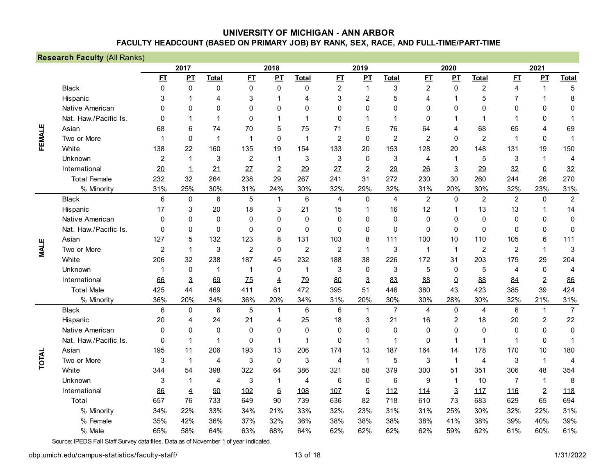|              | <b>Research Faculty (All Ranks)</b> |                |              |                |                |                  |                 |                |                |                |                |                  |                |                |                  |                |
|--------------|-------------------------------------|----------------|--------------|----------------|----------------|------------------|-----------------|----------------|----------------|----------------|----------------|------------------|----------------|----------------|------------------|----------------|
|              |                                     |                | 2017         |                |                | 2018             |                 |                | 2019           |                |                | 2020             |                |                | 2021             |                |
|              |                                     | E              | $\mathbf{p}$ | <b>Total</b>   | E              | $\mathbf{P}$     | <b>Total</b>    | E              | PI             | <b>Total</b>   | E              | $\mathbf{p}$     | <b>Total</b>   | E              | $\mathbf{p}$     | <b>Total</b>   |
|              | <b>Black</b>                        | $\Omega$       | $\Omega$     | $\mathbf 0$    | $\mathbf 0$    | $\boldsymbol{0}$ | 0               | $\overline{c}$ | $\overline{1}$ | 3              | $\overline{c}$ | $\boldsymbol{0}$ | $\overline{c}$ | 4              | $\mathbf{1}$     | 5              |
|              | Hispanic                            | 3              | 1            | $\overline{4}$ | 3              | 1                | 4               | 3              | $\overline{2}$ | 5              | 4              | 1                | 5              | 7              | $\mathbf 1$      | 8              |
|              | Native American                     | 0              | $\Omega$     | $\Omega$       | $\Omega$       | 0                | $\mathbf{0}$    | $\mathbf{0}$   | $\mathbf 0$    | $\mathbf{0}$   | $\mathbf{0}$   | $\mathbf 0$      | $\Omega$       | 0              | $\mathbf{0}$     | $\pmb{0}$      |
|              | Nat. Haw./Pacific Is.               | $\Omega$       | 1            | $\mathbf 1$    | $\mathbf 0$    | 1                | 1               | $\Omega$       | 1              | 1              | $\mathbf 0$    | 1                | 1              | 1              | 0                | $\mathbf 1$    |
|              | Asian                               | 68             | 6            | 74             | 70             | 5                | 75              | 71             | 5              | 76             | 64             | 4                | 68             | 65             | 4                | 69             |
| FEMALE       | Two or More                         | -1             | $\Omega$     | $\mathbf 1$    | $\mathbf{1}$   | 0                | 1               | $\overline{2}$ | $\mathbf{0}$   | $\overline{2}$ | $\overline{2}$ | $\Omega$         | $\overline{2}$ | 1              | $\mathbf 0$      | $\mathbf 1$    |
|              | White                               | 138            | 22           | 160            | 135            | 19               | 154             | 133            | 20             | 153            | 128            | 20               | 148            | 131            | 19               | 150            |
|              | Unknown                             | 2              | $\mathbf 1$  | 3              | 2              | $\mathbf 1$      | 3               | 3              | $\mathbf{0}$   | 3              | 4              | $\mathbf{1}$     | 5              | 3              | $\mathbf 1$      | 4              |
|              | International                       | 20             | 1            | 21             | 27             | $\overline{2}$   | 29              | 27             | $\overline{2}$ | 29             | 26             | 3                | 29             | 32             | $\Omega$         | 32             |
|              | <b>Total Female</b>                 | 232            | 32           | 264            | 238            | 29               | 267             | 241            | 31             | 272            | 230            | 30               | 260            | 244            | 26               | 270            |
|              | % Minority                          | 31%            | 25%          | 30%            | 31%            | 24%              | 30%             | 32%            | 29%            | 32%            | 31%            | 20%              | 30%            | 32%            | 23%              | 31%            |
| <b>MALE</b>  | <b>Black</b>                        | 6              | $\mathbf 0$  | $\,6\,$        | $\sqrt{5}$     | $\mathbf{1}$     | $6\phantom{1}6$ | $\overline{4}$ | $\mathbf 0$    | 4              | $\overline{c}$ | 0                | $\overline{2}$ | $\overline{c}$ | 0                | $\overline{2}$ |
|              | Hispanic                            | 17             | 3            | 20             | 18             | 3                | 21              | 15             | 1              | 16             | 12             |                  | 13             | 13             | 1                | 14             |
|              | Native American                     | $\Omega$       | 0            | $\mathbf 0$    | $\mathbf 0$    | 0                | 0               | $\mathbf 0$    | 0              | $\mathbf 0$    | 0              | 0                | $\mathbf 0$    | 0              | $\mathbf 0$      | $\pmb{0}$      |
|              | Nat. Haw./Pacific Is.               | $\Omega$       | $\Omega$     | $\Omega$       | $\Omega$       | 0                | $\Omega$        | $\Omega$       | $\mathbf{0}$   | $\Omega$       | $\mathbf{0}$   | $\mathbf 0$      | $\Omega$       | $\mathbf{0}$   | $\mathbf{0}$     | $\mathbf 0$    |
|              | Asian                               | 127            | 5            | 132            | 123            | 8                | 131             | 103            | 8              | 111            | 100            | 10               | 110            | 105            | 6                | 111            |
|              | Two or More                         | $\overline{2}$ | 1            | 3              | $\overline{2}$ | $\Omega$         | $\overline{2}$  | $\overline{2}$ | $\mathbf 1$    | 3              | 1              | $\mathbf 1$      | $\overline{2}$ | $\overline{2}$ | $\mathbf{1}$     | 3              |
|              | White                               | 206            | 32           | 238            | 187            | 45               | 232             | 188            | 38             | 226            | 172            | 31               | 203            | 175            | 29               | 204            |
|              | Unknown                             | 1              | $\Omega$     | 1              | $\mathbf{1}$   | $\Omega$         | 1               | 3              | $\Omega$       | 3              | 5              | $\mathbf 0$      | 5              | 4              | $\boldsymbol{0}$ | $\overline{4}$ |
|              | International                       | 66             | 3            | 69             | Z <sub>5</sub> | 4                | 79              | 80             | 3              | 83             | 88             | $\Omega$         | 88             | 84             | $\overline{2}$   | 86             |
|              | <b>Total Male</b>                   | 425            | 44           | 469            | 411            | 61               | 472             | 395            | 51             | 446            | 380            | 43               | 423            | 385            | 39               | 424            |
|              | % Minority                          | 36%            | 20%          | 34%            | 36%            | 20%              | 34%             | 31%            | 20%            | 30%            | 30%            | 28%              | 30%            | 32%            | 21%              | 31%            |
|              | <b>Black</b>                        | 6              | 0            | 6              | $\mathbf 5$    | $\mathbf{1}$     | 6               | 6              | $\mathbf{1}$   | $\overline{7}$ | 4              | 0                | $\overline{4}$ | 6              | $\mathbf{1}$     | $\overline{7}$ |
|              | Hispanic                            | 20             | 4            | 24             | 21             | 4                | 25              | 18             | 3              | 21             | 16             | $\overline{2}$   | 18             | 20             | $\overline{2}$   | 22             |
|              | Native American                     | $\Omega$       | $\Omega$     | $\Omega$       | $\Omega$       | 0                | $\Omega$        | $\mathbf{0}$   | $\mathbf{0}$   | $\Omega$       | $\mathbf{0}$   | $\Omega$         | $\Omega$       | $\mathbf{0}$   | $\Omega$         | $\mathbf 0$    |
|              | Nat. Haw./Pacific Is.               | 0              | 1            | $\mathbf 1$    | $\Omega$       | 1                | 1               | 0              | 1              | 1              | 0              | 1                | 1              | 1              | $\mathbf 0$      | $\mathbf 1$    |
|              | Asian                               | 195            | 11           | 206            | 193            | 13               | 206             | 174            | 13             | 187            | 164            | 14               | 178            | 170            | 10               | 180            |
| <b>TOTAL</b> | Two or More                         | 3              | $\mathbf 1$  | 4              | 3              | $\mathbf 0$      | 3               | 4              | $\mathbf{1}$   | 5              | 3              | 1                | $\overline{4}$ | 3              | $\mathbf{1}$     | $\overline{4}$ |
|              | White                               | 344            | 54           | 398            | 322            | 64               | 386             | 321            | 58             | 379            | 300            | 51               | 351            | 306            | 48               | 354            |
|              | Unknown                             | 3              | 1            | 4              | 3              | $\mathbf{1}$     | 4               | 6              | 0              | 6              | 9              | 1                | 10             | 7              | 1                | 8              |
|              | International                       | 86             | 4            | 90             | 102            | $6\phantom{1}$   | 108             | 107            | $\overline{5}$ | 112            | 114            | $\overline{3}$   | 117            | 116            | $\overline{2}$   | 118            |
|              | Total                               | 657            | 76           | 733            | 649            | 90               | 739             | 636            | 82             | 718            | 610            | 73               | 683            | 629            | 65               | 694            |
|              | % Minority                          | 34%            | 22%          | 33%            | 34%            | 21%              | 33%             | 32%            | 23%            | 31%            | 31%            | 25%              | 30%            | 32%            | 22%              | 31%            |
|              | % Female                            | 35%            | 42%          | 36%            | 37%            | 32%              | 36%             | 38%            | 38%            | 38%            | 38%            | 41%              | 38%            | 39%            | 40%              | 39%            |
|              | % Male                              | 65%            | 58%          | 64%            | 63%            | 68%              | 64%             | 62%            | 62%            | 62%            | 62%            | 59%              | 62%            | 61%            | 60%              | 61%            |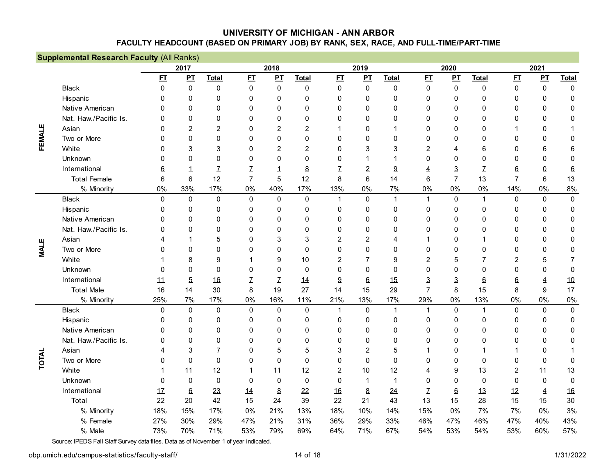|             | <b>Supplemental Research Faculty (All Ranks)</b> |              |                |                |                |                |                |                |                |              |                |                |                |                |              |              |
|-------------|--------------------------------------------------|--------------|----------------|----------------|----------------|----------------|----------------|----------------|----------------|--------------|----------------|----------------|----------------|----------------|--------------|--------------|
|             |                                                  |              | 2017           |                |                | 2018           |                |                | 2019           |              |                | 2020           |                |                | 2021         |              |
|             |                                                  | E            | $\mathbf{p}$   | <b>Total</b>   | E              | PL             | <b>Total</b>   | E              | $\mathbf{P}$   | <b>Total</b> | E              | $\mathbf{p}$   | <b>Total</b>   | E1             | $\mathbf{P}$ | <b>Total</b> |
|             | <b>Black</b>                                     | $\Omega$     | 0              | $\pmb{0}$      | $\pmb{0}$      | $\pmb{0}$      | 0              | $\mathbf 0$    | $\mathbf 0$    | 0            | 0              | $\pmb{0}$      | $\mathbf 0$    | $\pmb{0}$      | $\pmb{0}$    | 0            |
|             | Hispanic                                         | 0            | $\Omega$       | $\mathbf 0$    | $\mathbf 0$    | $\Omega$       | $\Omega$       | 0              | $\mathbf 0$    | 0            | $\mathbf 0$    | $\mathbf 0$    | $\mathbf 0$    | 0              | 0            | 0            |
|             | Native American                                  | <sup>0</sup> | $\Omega$       | $\mathbf 0$    | $\mathbf 0$    | 0              | $\Omega$       | 0              | $\mathbf 0$    | 0            | 0              | 0              | $\mathbf 0$    | 0              | 0            | 0            |
| FEMALE      | Nat. Haw./Pacific Is.                            | <sup>0</sup> | $\mathbf{0}$   | $\mathbf 0$    | 0              | 0              | $\Omega$       | 0              | $\Omega$       | 0            | 0              | 0              | 0              | 0              | 0            | 0            |
|             | Asian                                            | 0            | $\overline{2}$ | $\overline{2}$ | $\Omega$       | $\overline{2}$ | $\overline{2}$ |                | $\Omega$       | 1            | 0              | 0              | 0              | 1              | 0            |              |
|             | Two or More                                      | <sup>0</sup> | $\mathbf{0}$   | $\mathbf 0$    | $\mathbf{0}$   | 0              | 0              | $\mathbf 0$    | $\mathbf 0$    | 0            | 0              | 0              | $\mathbf 0$    | $\mathbf 0$    | 0            | 0            |
|             | White                                            | 0            | 3              | 3              | $\mathbf{0}$   | $\overline{2}$ | $\overline{2}$ | $\mathbf{0}$   | 3              | 3            | 2              | 4              | 6              | 0              | 6            | 6            |
|             | Unknown                                          | 0            | $\Omega$       | $\mathbf 0$    | $\mathbf 0$    | 0              | 0              | $\mathbf 0$    |                | 1            | 0              | 0              | $\mathbf 0$    | 0              | 0            | 0            |
|             | International                                    | 6            | 1              | Z              | Z              | 1              | 8              | Z              | $\overline{2}$ | 9            | 4              | $\mathbf{3}$   | Z              | 6              | $\pmb{0}$    | $6 \,$       |
|             | <b>Total Female</b>                              | 6            | 6              | 12             | $\overline{7}$ | 5              | 12             | 8              | 6              | 14           | 6              | $\overline{7}$ | 13             | $\overline{7}$ | 6            | 13           |
|             | % Minority                                       | 0%           | 33%            | 17%            | $0\%$          | 40%            | 17%            | 13%            | $0\%$          | 7%           | $0\%$          | 0%             | $0\%$          | 14%            | 0%           | 8%           |
|             | <b>Black</b>                                     | $\Omega$     | 0              | $\mathbf 0$    | $\Omega$       | $\mathbf{0}$   | $\mathbf 0$    | $\mathbf{1}$   | $\mathbf 0$    | $\mathbf{1}$ | $\mathbf{1}$   | $\mathbf 0$    | $\mathbf{1}$   | $\mathbf 0$    | $\mathbf 0$  | $\mathbf 0$  |
|             | Hispanic                                         | 0            | $\mathbf{0}$   | $\mathbf 0$    | $\mathbf{0}$   | 0              | 0              | $\mathbf{0}$   | $\mathbf{0}$   | 0            | 0              | 0              | $\mathbf{0}$   | $\mathbf{0}$   | 0            | $\mathbf 0$  |
|             | Native American                                  | 0            | $\mathbf{0}$   | $\Omega$       | $\mathbf{0}$   | 0              | $\Omega$       | 0              | $\Omega$       | $\mathbf{0}$ | 0              | $\mathbf{0}$   | $\mathbf{0}$   | $\mathbf{0}$   | 0            | 0            |
|             | Nat. Haw./Pacific Is.                            | 0            | $\mathbf{0}$   | $\Omega$       | $\Omega$       | 0              | 0              | 0              | $\Omega$       | 0            | 0              | $\mathbf{0}$   | $\mathbf{0}$   | 0              | 0            | 0            |
| <b>MALE</b> | Asian                                            | 4            |                | 5              | $\mathbf{0}$   | 3              | 3              | $\overline{2}$ | $\overline{2}$ | 4            | 1              | 0              | 1              | $\mathbf{0}$   | 0            | 0            |
|             | Two or More                                      | 0            | 0              | $\mathbf{0}$   | $\mathbf{0}$   | 0              | 0              | $\mathbf{0}$   | $\mathbf{0}$   | 0            | 0              | $\mathbf{0}$   | $\mathbf{0}$   | $\mathbf{0}$   | 0            | 0            |
|             | White                                            |              | 8              | 9              |                | 9              | 10             | $\overline{2}$ | $\overline{7}$ | 9            | $\overline{2}$ | 5              | $\overline{7}$ | $\overline{2}$ | 5            | 7            |
|             | Unknown                                          | 0            | $\Omega$       | $\mathbf{0}$   | 0              | 0              | $\Omega$       | $\mathbf{0}$   | $\Omega$       | $\mathbf 0$  | 0              | 0              | $\mathbf 0$    | $\Omega$       | 0            | 0            |
|             | International                                    | 11           | $\overline{5}$ | 16             | Z              | $\mathbf{Z}$   | 14             | 9              | 6              | 15           | 3              | 3              | 6              | 6              | 4            | 10           |
|             | <b>Total Male</b>                                | 16           | 14             | 30             | 8              | 19             | 27             | 14             | 15             | 29           | $\overline{7}$ | 8              | 15             | 8              | 9            | 17           |
|             | % Minority                                       | 25%          | 7%             | 17%            | $0\%$          | 16%            | 11%            | 21%            | 13%            | 17%          | 29%            | 0%             | 13%            | $0\%$          | 0%           | 0%           |
|             | <b>Black</b>                                     | $\Omega$     | $\mathbf 0$    | $\overline{0}$ | $\mathbf 0$    | $\mathbf 0$    | $\pmb{0}$      | $\mathbf{1}$   | $\mathbf 0$    | $\mathbf{1}$ | $\overline{1}$ | $\mathbf 0$    | $\mathbf{1}$   | $\pmb{0}$      | $\mathbf 0$  | $\pmb{0}$    |
|             | Hispanic                                         | 0            | 0              | $\mathbf 0$    | $\mathbf{0}$   | 0              | 0              | 0              | $\mathbf{0}$   | 0            | 0              | 0              | $\mathbf{0}$   | 0              | 0            | 0            |
|             | Native American                                  | 0            | $\mathbf{0}$   | 0              | $\mathbf 0$    | 0              | $\Omega$       | 0              | $\mathbf{0}$   | 0            | 0              | 0              | $\mathbf{0}$   | 0              | $\mathbf{0}$ | 0            |
|             | Nat. Haw./Pacific Is.                            | 0            | $\mathbf{0}$   | $\Omega$       | $\mathbf{0}$   | 0              | $\Omega$       | 0              | $\mathbf{0}$   | $\mathbf{0}$ | 0              | 0              | $\mathbf{0}$   | 0              | $\Omega$     | 0            |
|             | Asian                                            | 4            | 3              | $\overline{7}$ | $\mathbf 0$    | 5              | 5              | 3              | $\overline{2}$ | 5            | 1              | $\mathbf 0$    | 1              | 1              | 0            |              |
| TOTAL       | Two or More                                      | 0            | $\mathbf{0}$   | $\mathbf 0$    | $\mathbf{0}$   | $\mathbf 0$    | $\Omega$       | $\mathbf{0}$   | $\mathbf{0}$   | 0            | 0              | $\mathbf 0$    | $\mathbf{0}$   | 0              | 0            | 0            |
|             | White                                            |              | 11             | 12             | 1              | 11             | 12             | $\overline{c}$ | 10             | 12           | 4              | 9              | 13             | $\overline{c}$ | 11           | 13           |
|             | Unknown                                          | $\Omega$     | $\Omega$       | $\mathbf 0$    | $\mathbf{0}$   | $\Omega$       | $\mathbf 0$    | $\Omega$       | $\mathbf{1}$   | $\mathbf{1}$ | 0              | $\mathbf{0}$   | $\overline{0}$ | $\mathbf{0}$   | $\mathbf 0$  | $\Omega$     |
|             | International                                    | 17           | $6\phantom{1}$ | 23             | 14             | $8\phantom{1}$ | 22             | 16             | 8              | 24           | Z              | $6\phantom{1}$ | 13             | 12             | 4            | 16           |
|             | Total                                            | 22           | 20             | 42             | 15             | 24             | 39             | 22             | 21             | 43           | 13             | 15             | 28             | 15             | 15           | 30           |
|             | % Minority                                       | 18%          | 15%            | 17%            | $0\%$          | 21%            | 13%            | 18%            | 10%            | 14%          | 15%            | 0%             | 7%             | 7%             | 0%           | 3%           |
|             | % Female                                         | 27%          | 30%            | 29%            | 47%            | 21%            | 31%            | 36%            | 29%            | 33%          | 46%            | 47%            | 46%            | 47%            | 40%          | 43%          |
|             | % Male                                           | 73%          | 70%            | 71%            | 53%            | 79%            | 69%            | 64%            | 71%            | 67%          | 54%            | 53%            | 54%            | 53%            | 60%          | 57%          |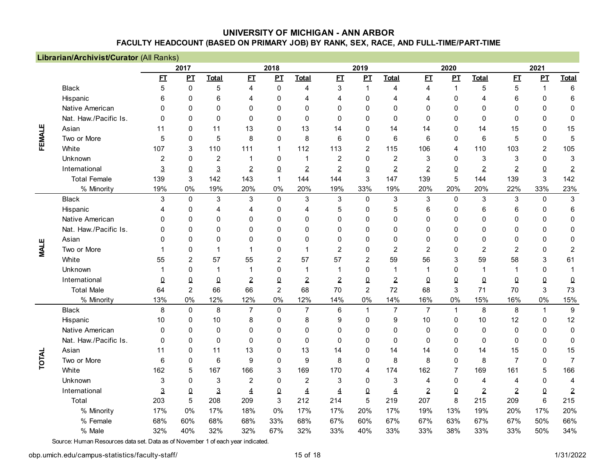|             | Librarian/Archivist/Curator (All Ranks) |              |                  |                |                |                |                |                |                |                |                |              |                 |                 |                |                         |
|-------------|-----------------------------------------|--------------|------------------|----------------|----------------|----------------|----------------|----------------|----------------|----------------|----------------|--------------|-----------------|-----------------|----------------|-------------------------|
|             |                                         |              | 2017             |                |                | 2018           |                |                | 2019           |                |                | 2020         |                 |                 | 2021           |                         |
|             |                                         | E1           | $\mathbf{p}$     | <b>Total</b>   | E1             | $\mathbf{p}$   | <b>Total</b>   | E              | $\mathbf{p}$   | <b>Total</b>   | E              | $\mathbf{p}$ | <b>Total</b>    | E1              | $\mathbf{p}$   | <b>Total</b>            |
|             | <b>Black</b>                            | 5            | $\boldsymbol{0}$ | $\mathbf 5$    | 4              | 0              | 4              | 3              | $\mathbf{1}$   | 4              | 4              | $\mathbf{1}$ | 5               | 5               | 1              | $\,6\,$                 |
|             | Hispanic                                | 6            | $\Omega$         | 6              | 4              | 0              | 4              | 4              | $\mathbf 0$    | 4              | 4              | $\mathbf{0}$ | 4               | 6               | 0              | 6                       |
|             | Native American                         | $\Omega$     | $\Omega$         | $\Omega$       | $\mathbf{0}$   | 0              | $\Omega$       | $\Omega$       | $\mathbf 0$    | 0              | 0              | $\mathbf{0}$ | $\mathbf 0$     | $\mathbf 0$     | 0              | 0                       |
|             | Nat. Haw./Pacific Is.                   | $\Omega$     | $\Omega$         | $\Omega$       | $\mathbf 0$    | 0              | $\mathbf{0}$   | $\Omega$       | $\mathbf 0$    | 0              | $\mathbf 0$    | $\mathbf 0$  | $\mathbf 0$     | $\mathbf 0$     | 0              | 0                       |
| FEMALE      | Asian                                   | 11           | $\Omega$         | 11             | 13             | 0              | 13             | 14             | $\Omega$       | 14             | 14             | $\mathbf{0}$ | 14              | 15              | 0              | 15                      |
|             | Two or More                             | 5            | $\Omega$         | $\overline{5}$ | 8              | 0              | 8              | 6              | $\mathbf 0$    | 6              | 6              | $\mathbf{0}$ | 6               | 5               | 0              | 5                       |
|             | White                                   | 107          | 3                | 110            | 111            | 1              | 112            | 113            | $\overline{2}$ | 115            | 106            | 4            | 110             | 103             | $\overline{c}$ | 105                     |
|             | Unknown                                 | 2            | $\Omega$         | $\overline{2}$ | -1             | 0              | 1              | $\overline{2}$ | $\mathbf 0$    | $\overline{c}$ | 3              | $\Omega$     | 3               | 3               | 0              | 3                       |
|             | International                           | 3            | $\overline{0}$   | $\mathbf{3}$   | $\overline{2}$ | 0              | $\overline{2}$ | $\overline{2}$ | $\overline{0}$ | $\overline{2}$ | $\overline{2}$ | $\Omega$     | $\overline{2}$  | $\overline{2}$  | $\Omega$       | $\overline{2}$          |
|             | <b>Total Female</b>                     | 139          | 3                | 142            | 143            | 1              | 144            | 144            | 3              | 147            | 139            | 5            | 144             | 139             | 3              | 142                     |
|             | % Minority                              | 19%          | 0%               | 19%            | 20%            | 0%             | 20%            | 19%            | 33%            | 19%            | 20%            | 20%          | 20%             | 22%             | 33%            | 23%                     |
|             | <b>Black</b>                            | 3            | $\mathbf{0}$     | 3              | 3              | $\mathbf 0$    | 3              | $\mathbf{3}$   | $\mathbf 0$    | $\sqrt{3}$     | 3              | 0            | $\sqrt{3}$      | $\sqrt{3}$      | 0              | $\mathbf{3}$            |
|             | Hispanic                                | 4            | 0                | 4              | $\overline{4}$ | 0              | 4              | 5              | 0              | 5              | 6              | 0            | $6\phantom{1}6$ | $6\phantom{1}6$ | 0              | $\,6\,$                 |
|             | Native American                         | $\Omega$     | 0                | $\Omega$       | 0              | 0              | $\Omega$       | $\Omega$       | $\Omega$       | 0              | 0              | 0            | $\Omega$        | $\mathbf 0$     | 0              | $\pmb{0}$               |
|             | Nat. Haw./Pacific Is.                   | 0            | 0                | $\mathbf{0}$   | $\Omega$       | 0              | $\Omega$       | $\Omega$       | $\Omega$       | 0              | 0              | 0            | $\Omega$        | $\Omega$        | 0              | $\mathbf 0$             |
|             | Asian                                   | 0            | 0                | $\Omega$       | $\Omega$       | 0              | $\Omega$       | 0              | $\Omega$       | 0              | 0              | $\Omega$     | $\Omega$        | $\Omega$        | 0              | 0                       |
| <b>MALE</b> | Two or More                             |              | 0                | 1              | 1              | 0              |                | $\overline{2}$ | $\Omega$       | 2              | 2              | 0            | $\overline{2}$  | $\overline{2}$  | 0              | $\overline{\mathbf{c}}$ |
|             | White                                   | 55           | 2                | 57             | 55             | 2              | 57             | 57             | 2              | 59             | 56             | 3            | 59              | 58              | 3              | 61                      |
|             | Unknown                                 | 1            | 0                | $\mathbf 1$    | $\mathbf 1$    | 0              | 1              | 1              | $\mathbf{0}$   | 1              | 1              | 0            | $\mathbf 1$     | 1               | 0              | 1                       |
|             | International                           | 0            | 0                | 0              | $\overline{2}$ | 0              | $\overline{2}$ | $\overline{2}$ | 0              | $\overline{2}$ | 0              | 0            | 0               | 0               | 0              | $\pmb{0}$               |
|             | <b>Total Male</b>                       | 64           | $\overline{2}$   | 66             | 66             | $\overline{2}$ | 68             | 70             | $\overline{2}$ | 72             | 68             | 3            | 71              | 70              | 3              | 73                      |
|             | % Minority                              | 13%          | 0%               | 12%            | 12%            | 0%             | 12%            | 14%            | 0%             | 14%            | 16%            | 0%           | 15%             | 16%             | 0%             | 15%                     |
|             | <b>Black</b>                            | 8            | $\pmb{0}$        | 8              | $\overline{7}$ | $\mathbf{0}$   | $\overline{7}$ | $\,6$          | $\mathbf{1}$   | $\overline{7}$ | $\overline{7}$ | 1            | 8               | 8               | $\mathbf{1}$   | 9                       |
|             | Hispanic                                | 10           | 0                | 10             | 8              | $\Omega$       | 8              | 9              | $\mathbf 0$    | 9              | 10             | 0            | 10              | 12              | 0              | 12                      |
|             | Native American                         | 0            | 0                | $\Omega$       | $\mathbf{0}$   | 0              | $\Omega$       | $\Omega$       | $\Omega$       | 0              | 0              | 0            | $\Omega$        | $\mathbf 0$     | 0              | $\pmb{0}$               |
|             | Nat. Haw./Pacific Is.                   | 0            | 0                | $\mathbf 0$    | $\mathbf 0$    | 0              | 0              | $\Omega$       | $\mathbf 0$    | 0              | $\mathbf 0$    | 0            | $\mathbf 0$     | $\mathbf 0$     | 0              | 0                       |
|             | Asian                                   | 11           | 0                | 11             | 13             | 0              | 13             | 14             | $\Omega$       | 14             | 14             | 0            | 14              | 15              | 0              | 15                      |
| TOTAL       | Two or More                             | 6            | 0                | 6              | 9              | 0              | 9              | 8              | $\mathbf 0$    | 8              | 8              | 0            | 8               | $\overline{7}$  | 0              | $\overline{7}$          |
|             | White                                   | 162          | 5                | 167            | 166            | 3              | 169            | 170            | 4              | 174            | 162            | 7            | 169             | 161             | 5              | 166                     |
|             | Unknown                                 | 3            | 0                | 3              | $\overline{c}$ | 0              | $\overline{c}$ | 3              | $\mathbf 0$    | 3              | 4              | $\mathbf 0$  | $\overline{4}$  | 4               | 0              | $\overline{4}$          |
|             | International                           | $\mathbf{3}$ | $\Omega$         | $\mathbf{3}$   | $\overline{4}$ | 0              | $\overline{4}$ | 4              | $\overline{0}$ | $\overline{4}$ | $\overline{2}$ | $\pmb{0}$    | $\overline{2}$  | $\overline{2}$  | 0              | $\overline{2}$          |
|             | Total                                   | 203          | 5                | 208            | 209            | 3              | 212            | 214            | $\sqrt{5}$     | 219            | 207            | 8            | 215             | 209             | $\,6\,$        | 215                     |
|             | % Minority                              | 17%          | 0%               | 17%            | 18%            | 0%             | 17%            | 17%            | 20%            | 17%            | 19%            | 13%          | 19%             | 20%             | 17%            | 20%                     |
|             | % Female                                | 68%          | 60%              | 68%            | 68%            | 33%            | 68%            | 67%            | 60%            | 67%            | 67%            | 63%          | 67%             | 67%             | 50%            | 66%                     |
|             | % Male                                  | 32%          | 40%              | 32%            | 32%            | 67%            | 32%            | 33%            | 40%            | 33%            | 33%            | 38%          | 33%             | 33%             | 50%            | 34%                     |

Source: Human Resources data set. Data as of November 1 of each year indicated.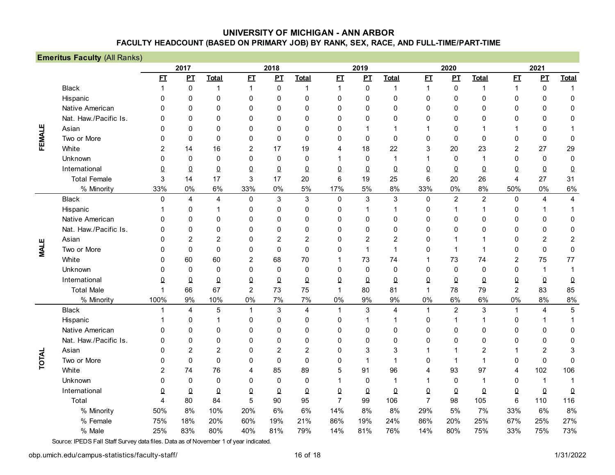|                  | <b>Emeritus Faculty (All Ranks)</b> |                |                |                |                |                |                |                |                |                |                |                  |                |                |                  |                |
|------------------|-------------------------------------|----------------|----------------|----------------|----------------|----------------|----------------|----------------|----------------|----------------|----------------|------------------|----------------|----------------|------------------|----------------|
|                  |                                     |                | 2017           |                |                | 2018           |                |                | 2019           |                |                | 2020             |                |                | 2021             |                |
|                  |                                     | E I            | PL             | <b>Total</b>   | E              | PL             | <b>Total</b>   | E              | $\mathbf{p}$   | <b>Total</b>   | E              | $\mathbf{p}$     | <b>Total</b>   | E1             | $\mathbf{p}$     | <b>Total</b>   |
|                  | <b>Black</b>                        | $\mathbf{1}$   | $\mathbf 0$    | $\mathbf{1}$   | $\mathbf{1}$   | $\mathbf 0$    | $\mathbf{1}$   | $\mathbf{1}$   | $\mathbf 0$    | 1              | $\mathbf{1}$   | $\boldsymbol{0}$ | $\overline{1}$ | $\mathbf{1}$   | $\boldsymbol{0}$ | $\mathbf{1}$   |
|                  | Hispanic                            | 0              | $\mathbf{0}$   | $\mathbf 0$    | $\mathbf 0$    | 0              | $\mathbf 0$    | $\mathbf 0$    | $\mathbf 0$    | 0              | 0              | $\mathbf{0}$     | $\mathbf 0$    | $\mathbf 0$    | 0                | $\mathbf 0$    |
|                  | Native American                     | 0              | $\mathbf{0}$   | $\mathbf 0$    | $\mathbf 0$    | $\mathbf{0}$   | 0              | $\mathbf 0$    | $\mathbf 0$    | 0              | 0              | 0                | $\mathbf 0$    | $\mathbf 0$    | 0                | 0              |
| FEMALE           | Nat. Haw./Pacific Is.               | $\Omega$       | $\mathbf{0}$   | $\Omega$       | $\mathbf 0$    | $\mathbf{0}$   | 0              | $\mathbf 0$    | $\mathbf 0$    | 0              | 0              | 0                | $\mathbf 0$    | $\mathbf 0$    | 0                | 0              |
|                  | Asian                               | $\Omega$       | $\mathbf{0}$   | $\mathbf{0}$   | $\mathbf 0$    | $\mathbf{0}$   | $\Omega$       | $\mathbf 0$    | 1              | 1              | 1              | 0                | $\mathbf 1$    | $\mathbf 1$    | 0                |                |
|                  | Two or More                         | $\Omega$       | $\Omega$       | $\mathbf 0$    | $\mathbf 0$    | $\Omega$       | $\Omega$       | $\mathbf 0$    | $\mathbf 0$    | $\mathbf 0$    | 0              | $\Omega$         | $\mathbf 0$    | $\mathbf 0$    | 0                | $\mathbf 0$    |
|                  | White                               | $\overline{2}$ | 14             | 16             | $\overline{2}$ | 17             | 19             | 4              | 18             | 22             | 3              | 20               | 23             | 2              | 27               | 29             |
|                  | Unknown                             | $\Omega$       | $\Omega$       | $\mathbf 0$    | $\mathbf 0$    | $\mathbf 0$    | $\Omega$       | 1              | $\mathbf 0$    | 1              | 1              | $\mathbf 0$      | $\mathbf 1$    | $\mathbf 0$    | 0                | $\mathbf 0$    |
|                  | International                       | 0              | $\overline{0}$ | $\Omega$       | $\pmb{0}$      | $\bf{0}$       | $\Omega$       | $\Omega$       | $\Omega$       | $\pmb{0}$      | 0              | $\Omega$         | $\Omega$       | $\overline{0}$ | 0                | $\pmb{0}$      |
|                  | <b>Total Female</b>                 | 3              | 14             | 17             | 3              | 17             | 20             | 6              | 19             | 25             | 6              | 20               | 26             | $\overline{4}$ | 27               | 31             |
|                  | % Minority                          | 33%            | 0%             | 6%             | 33%            | 0%             | 5%             | 17%            | 5%             | 8%             | 33%            | 0%               | 8%             | 50%            | 0%               | 6%             |
| ш<br><b>LIAN</b> | <b>Black</b>                        | $\Omega$       | $\overline{4}$ | $\overline{4}$ | $\pmb{0}$      | 3              | 3              | $\mathbf 0$    | 3              | $\mathbf{3}$   | $\pmb{0}$      | $\overline{c}$   | $\overline{2}$ | $\mathbf 0$    | 4                | $\overline{4}$ |
|                  | Hispanic                            |                | 0              | 1              | $\mathbf 0$    | 0              | 0              | 0              | 1              | 1              | 0              | 1                | 1              | $\pmb{0}$      | 1                | 1              |
|                  | Native American                     | 0              | $\mathbf{0}$   | $\Omega$       | $\mathbf 0$    | $\mathbf{0}$   | $\Omega$       | 0              | $\mathbf 0$    | 0              | 0              | 0                | $\mathbf 0$    | $\mathbf 0$    | 0                | 0              |
|                  | Nat. Haw./Pacific Is.               | $\Omega$       | $\mathbf{0}$   | $\mathbf 0$    | $\mathbf 0$    | 0              | $\Omega$       | $\mathbf 0$    | $\mathbf 0$    | 0              | 0              | $\mathbf{0}$     | $\mathbf 0$    | $\mathbf 0$    | 0                | 0              |
|                  | Asian                               | $\Omega$       | $\overline{2}$ | $\overline{2}$ | $\mathbf 0$    | $\overline{2}$ | $\overline{2}$ | $\mathbf 0$    | $\overline{2}$ | $\overline{2}$ | 0              |                  |                | $\mathbf 0$    | $\overline{c}$   | $\overline{c}$ |
|                  | Two or More                         | $\Omega$       | $\Omega$       | $\mathbf 0$    | $\mathbf 0$    | $\mathbf 0$    | $\Omega$       | $\mathbf 0$    | $\mathbf 1$    | 1              | 0              |                  | 1              | $\mathbf 0$    | 0                | $\pmb{0}$      |
|                  | White                               | $\Omega$       | 60             | 60             | 2              | 68             | 70             |                | 73             | 74             | 1              | 73               | 74             | $\overline{c}$ | 75               | 77             |
|                  | Unknown                             | 0              | $\mathbf{0}$   | $\mathbf{0}$   | $\Omega$       | $\Omega$       | $\Omega$       | $\mathbf 0$    | $\mathbf 0$    | $\Omega$       | 0              | $\mathbf 0$      | $\mathbf 0$    | $\mathbf 0$    | 1                | 1              |
|                  | International                       | 0              | $\Omega$       | $\Omega$       | $\pmb{0}$      | $\Omega$       | $\Omega$       | $\Omega$       | $\Omega$       | $\Omega$       | 0              | $\Omega$         | $\Omega$       | $\pmb{0}$      | $\Omega$         | $\pmb{0}$      |
|                  | <b>Total Male</b>                   | 1              | 66             | 67             | $\overline{c}$ | 73             | 75             | $\mathbf{1}$   | 80             | 81             | 1              | 78               | 79             | $\overline{2}$ | 83               | 85             |
|                  | % Minority                          | 100%           | 9%             | 10%            | $0\%$          | 7%             | 7%             | 0%             | 9%             | 9%             | 0%             | 6%               | 6%             | 0%             | 8%               | 8%             |
|                  | <b>Black</b>                        | 1              | 4              | 5              | $\mathbf{1}$   | $\sqrt{3}$     | 4              | $\mathbf{1}$   | $\sqrt{3}$     | $\overline{4}$ | 1              | $\overline{2}$   | 3              | $\mathbf{1}$   | 4                | 5              |
|                  | Hispanic                            |                | 0              | 1              | $\mathbf 0$    | 0              | 0              | 0              |                | 1              | 0              | $\mathbf 1$      | 1              | $\mathbf 0$    | 1                | 1              |
|                  | Native American                     | 0              | 0              | $\Omega$       | $\Omega$       | 0              | 0              | 0              | $\mathbf 0$    | 0              | 0              | 0                | $\mathbf 0$    | $\mathbf 0$    | 0                | $\mathbf 0$    |
|                  | Nat. Haw./Pacific Is.               | 0              | $\mathbf{0}$   | $\Omega$       | $\Omega$       | 0              | 0              | $\mathbf{0}$   | $\mathbf 0$    | 0              | 0              | $\mathbf{0}$     | $\mathbf 0$    | $\mathbf 0$    | 0                | 0              |
|                  | Asian                               | 0              | $\overline{2}$ | $\overline{2}$ | $\mathbf 0$    | $\overline{2}$ | $\overline{2}$ | $\mathbf 0$    | 3              | 3              | 1              |                  | $\overline{2}$ | 1              | $\overline{2}$   | 3              |
| TOTAL            | Two or More                         | 0              | $\Omega$       | $\mathbf 0$    | $\mathbf 0$    | $\mathbf 0$    | $\Omega$       | 0              | $\mathbf 1$    | 1              | 0              |                  | $\mathbf 1$    | $\mathbf 0$    | 0                | $\mathbf 0$    |
|                  | White                               | $\overline{2}$ | 74             | 76             | 4              | 85             | 89             | 5              | 91             | 96             | 4              | 93               | 97             | $\overline{4}$ | 102              | 106            |
|                  | Unknown                             | $\Omega$       | $\mathbf 0$    | $\mathbf 0$    | 0              | $\mathbf 0$    | $\mathbf 0$    | 1              | $\mathbf 0$    | 1              | 1              | $\mathbf 0$      | $\mathbf{1}$   | $\mathbf 0$    | $\mathbf{1}$     | $\mathbf{1}$   |
|                  | International                       | $\Omega$       | $\overline{0}$ | $\Omega$       | $\Omega$       | $\overline{0}$ | $\Omega$       | $\Omega$       | $\overline{0}$ | $\Omega$       | 0              | $\overline{0}$   | $\Omega$       | $\pmb{0}$      | $\Omega$         | $\pmb{0}$      |
|                  | Total                               | 4              | 80             | 84             | 5              | 90             | 95             | $\overline{7}$ | 99             | 106            | $\overline{7}$ | 98               | 105            | $\,6\,$        | 110              | 116            |
|                  | % Minority                          | 50%            | 8%             | 10%            | 20%            | 6%             | 6%             | 14%            | 8%             | 8%             | 29%            | 5%               | 7%             | 33%            | 6%               | 8%             |
|                  | % Female                            | 75%            | 18%            | 20%            | 60%            | 19%            | 21%            | 86%            | 19%            | 24%            | 86%            | 20%              | 25%            | 67%            | 25%              | 27%            |
|                  | % Male                              | 25%            | 83%            | 80%            | 40%            | 81%            | 79%            | 14%            | 81%            | 76%            | 14%            | 80%              | 75%            | 33%            | 75%              | 73%            |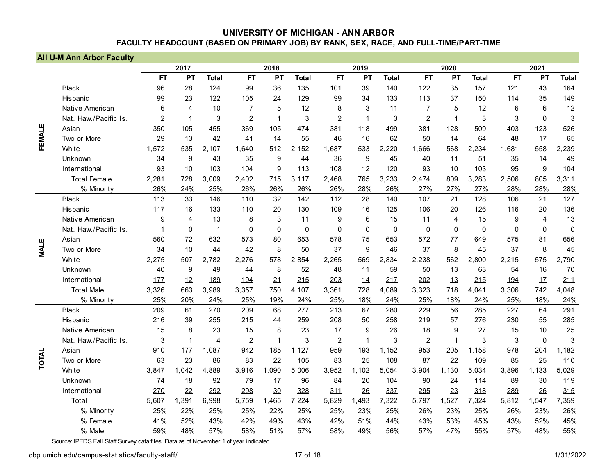|             | <b>All U-M Ann Arbor Faculty</b> |                |              |                |                |              |              |                |              |              |                |              |              |             |                |              |
|-------------|----------------------------------|----------------|--------------|----------------|----------------|--------------|--------------|----------------|--------------|--------------|----------------|--------------|--------------|-------------|----------------|--------------|
|             |                                  |                | 2017         |                |                | 2018         |              |                | 2019         |              |                | 2020         |              |             | 2021           |              |
|             |                                  | E              | $\mathbf{P}$ | <b>Total</b>   | E              | PL           | <b>Total</b> | E              | PL           | <b>Total</b> | E1             | $\mathbf{p}$ | <b>Total</b> | E           | $\mathbf{p}$   | <b>Total</b> |
|             | <b>Black</b>                     | 96             | 28           | 124            | 99             | 36           | 135          | 101            | 39           | 140          | 122            | 35           | 157          | 121         | 43             | 164          |
|             | Hispanic                         | 99             | 23           | 122            | 105            | 24           | 129          | 99             | 34           | 133          | 113            | 37           | 150          | 114         | 35             | 149          |
|             | Native American                  | 6              | 4            | 10             | $\overline{7}$ | 5            | 12           | 8              | 3            | 11           | $\overline{7}$ | 5            | 12           | 6           | $6\phantom{1}$ | 12           |
|             | Nat. Haw./Pacific Is.            | $\overline{2}$ | $\mathbf 1$  | 3              | $\overline{2}$ | $\mathbf 1$  | 3            | $\overline{2}$ | $\mathbf{1}$ | 3            | $\overline{2}$ | 1            | 3            | 3           | $\mathbf 0$    | 3            |
| FEMALE      | Asian                            | 350            | 105          | 455            | 369            | 105          | 474          | 381            | 118          | 499          | 381            | 128          | 509          | 403         | 123            | 526          |
|             | Two or More                      | 29             | 13           | 42             | 41             | 14           | 55           | 46             | 16           | 62           | 50             | 14           | 64           | 48          | 17             | 65           |
|             | White                            | 1.572          | 535          | 2,107          | 1.640          | 512          | 2,152        | 1.687          | 533          | 2.220        | 1.666          | 568          | 2.234        | 1.681       | 558            | 2,239        |
|             | Unknown                          | 34             | 9            | 43             | 35             | 9            | 44           | 36             | 9            | 45           | 40             | 11           | 51           | 35          | 14             | 49           |
|             | International                    | 93             | 10           | 103            | 104            | 9            | 113          | 108            | 12           | 120          | 93             | 10           | 103          | 95          | $9\,$          | 104          |
|             | <b>Total Female</b>              | 2,281          | 728          | 3,009          | 2,402          | 715          | 3,117        | 2,468          | 765          | 3,233        | 2,474          | 809          | 3,283        | 2,506       | 805            | 3,311        |
|             | % Minority                       | 26%            | 24%          | 25%            | 26%            | 26%          | 26%          | 26%            | 28%          | 26%          | 27%            | 27%          | 27%          | 28%         | 28%            | 28%          |
|             | <b>Black</b>                     | 113            | 33           | 146            | 110            | 32           | 142          | 112            | 28           | 140          | 107            | 21           | 128          | 106         | 21             | 127          |
|             | Hispanic                         | 117            | 16           | 133            | 110            | 20           | 130          | 109            | 16           | 125          | 106            | 20           | 126          | 116         | 20             | 136          |
|             | Native American                  | 9              | 4            | 13             | 8              | 3            | 11           | 9              | 6            | 15           | 11             | 4            | 15           | 9           | $\overline{4}$ | 13           |
|             | Nat. Haw./Pacific Is.            | 1              | $\Omega$     | $\mathbf{1}$   | $\Omega$       | $\mathbf{0}$ | $\Omega$     | $\Omega$       | $\mathbf{0}$ | $\mathbf 0$  | $\mathbf 0$    | $\mathbf 0$  | $\mathbf 0$  | $\mathbf 0$ | $\mathbf 0$    | $\mathbf 0$  |
|             | Asian                            | 560            | 72           | 632            | 573            | 80           | 653          | 578            | 75           | 653          | 572            | 77           | 649          | 575         | 81             | 656          |
| <b>MALE</b> | Two or More                      | 34             | 10           | 44             | 42             | 8            | 50           | 37             | 9            | 46           | 37             | 8            | 45           | 37          | 8              | 45           |
|             | White                            | 2,275          | 507          | 2,782          | 2,276          | 578          | 2,854        | 2,265          | 569          | 2,834        | 2,238          | 562          | 2,800        | 2,215       | 575            | 2,790        |
|             | Unknown                          | 40             | 9            | 49             | 44             | 8            | 52           | 48             | 11           | 59           | 50             | 13           | 63           | 54          | 16             | 70           |
|             | International                    | 177            | 12           | 189            | 194            | 21           | 215          | 203            | 14           | 21Z          | 202            | 13           | 215          | 194         | 17             | 211          |
|             | <b>Total Male</b>                | 3,326          | 663          | 3,989          | 3,357          | 750          | 4,107        | 3,361          | 728          | 4,089        | 3,323          | 718          | 4,041        | 3,306       | 742            | 4,048        |
|             | % Minority                       | 25%            | 20%          | 24%            | 25%            | 19%          | 24%          | 25%            | 18%          | 24%          | 25%            | 18%          | 24%          | 25%         | 18%            | 24%          |
|             | <b>Black</b>                     | 209            | 61           | 270            | 209            | 68           | 277          | 213            | 67           | 280          | 229            | 56           | 285          | 227         | 64             | 291          |
|             | Hispanic                         | 216            | 39           | 255            | 215            | 44           | 259          | 208            | 50           | 258          | 219            | 57           | 276          | 230         | 55             | 285          |
|             | Native American                  | 15             | 8            | 23             | 15             | 8            | 23           | 17             | 9            | 26           | 18             | 9            | 27           | 15          | 10             | 25           |
|             | Nat. Haw./Pacific Is.            | 3              | $\mathbf{1}$ | $\overline{4}$ | $\overline{2}$ | 1            | 3            | $\overline{c}$ | $\mathbf{1}$ | 3            | $\overline{2}$ | $\mathbf{1}$ | 3            | 3           | $\pmb{0}$      | 3            |
|             | Asian                            | 910            | 177          | 1,087          | 942            | 185          | 1,127        | 959            | 193          | 1,152        | 953            | 205          | 1,158        | 978         | 204            | 1,182        |
| TOTAL       | Two or More                      | 63             | 23           | 86             | 83             | 22           | 105          | 83             | 25           | 108          | 87             | 22           | 109          | 85          | 25             | 110          |
|             | White                            | 3,847          | 1.042        | 4,889          | 3,916          | 1,090        | 5,006        | 3,952          | 1,102        | 5,054        | 3,904          | 1,130        | 5,034        | 3,896       | 1,133          | 5,029        |
|             | Unknown                          | 74             | 18           | 92             | 79             | 17           | 96           | 84             | 20           | 104          | 90             | 24           | 114          | 89          | 30             | 119          |
|             | International                    | 270            | 22           | 292            | 298            | 30           | 328          | 311            | 26           | 337          | 295            | 23           | 318          | 289         | 26             | 315          |
|             | Total                            | 5,607          | 1,391        | 6,998          | 5,759          | 1,465        | 7,224        | 5,829          | 1,493        | 7,322        | 5,797          | 1,527        | 7,324        | 5,812       | 1,547          | 7,359        |
|             | % Minority                       | 25%            | 22%          | 25%            | 25%            | 22%          | 25%          | 25%            | 23%          | 25%          | 26%            | 23%          | 25%          | 26%         | 23%            | 26%          |
|             | % Female                         | 41%            | 52%          | 43%            | 42%            | 49%          | 43%          | 42%            | 51%          | 44%          | 43%            | 53%          | 45%          | 43%         | 52%            | 45%          |
|             | % Male                           | 59%            | 48%          | 57%            | 58%            | 51%          | 57%          | 58%            | 49%          | 56%          | 57%            | 47%          | 55%          | 57%         | 48%            | 55%          |